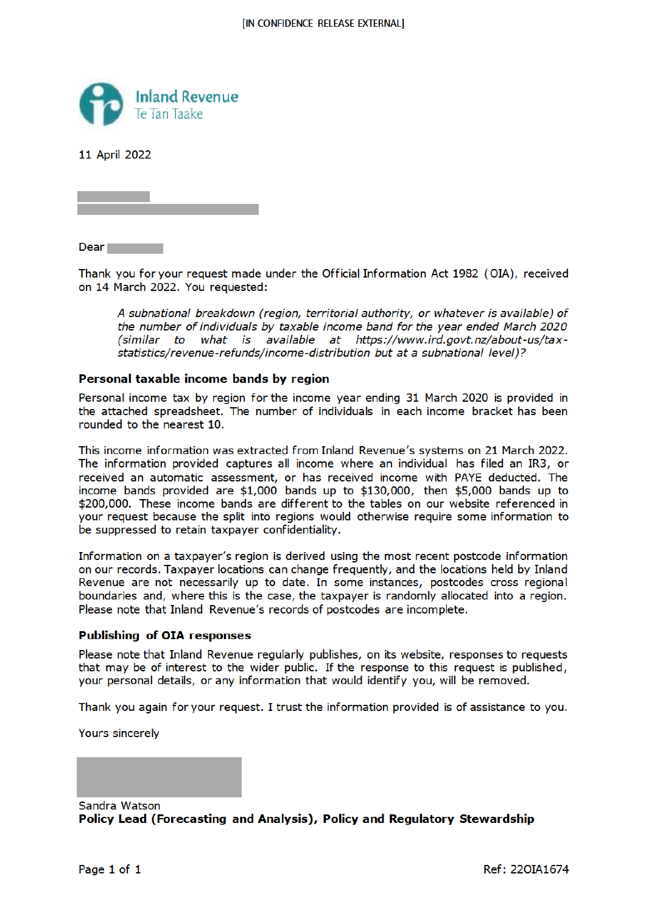

11 April 2022

Dear **Dear** 

Thank you for your request made under the Official Information Act 1982 (OIA), received on 14 March 2022. You requested:

A subnational breakdown (region, territorial authority, or whatever is available) of the number of individuals by taxable income band for the year ended March 2020 (similar to what is available at https://www.ird.govt.nz/about-us/taxstatistics/revenue-refunds/income-distribution but at a subnational level)?

## Personal taxable income bands by region

Personal income tax by region for the income year ending 31 March 2020 is provided in the attached spreadsheet. The number of individuals in each income bracket has been rounded to the nearest 10.

This income information was extracted from Inland Revenue's systems on 21 March 2022. The information provided captures all income where an individual has filed an IR3, or received an automatic assessment, or has received income with PAYE deducted. The income bands provided are \$1,000 bands up to \$130,000, then \$5,000 bands up to \$200,000. These income bands are different to the tables on our website referenced in your request because the split into regions would otherwise require some information to be suppressed to retain taxpayer confidentiality.

Information on a taxpayer's region is derived using the most recent postcode information on our records. Taxpayer locations can change frequently, and the locations held by Inland Revenue are not necessarily up to date. In some instances, postcodes cross regional boundaries and, where this is the case, the taxpayer is randomly allocated into a region. Please note that Inland Revenue's records of postcodes are incomplete.

## **Publishing of OIA responses**

Please note that Inland Revenue regularly publishes, on its website, responses to requests that may be of interest to the wider public. If the response to this request is published, your personal details, or any information that would identify you, will be removed.

Thank you again for your request. I trust the information provided is of assistance to you.

Yours sincerely

Sandra Watson Policy Lead (Forecasting and Analysis), Policy and Regulatory Stewardship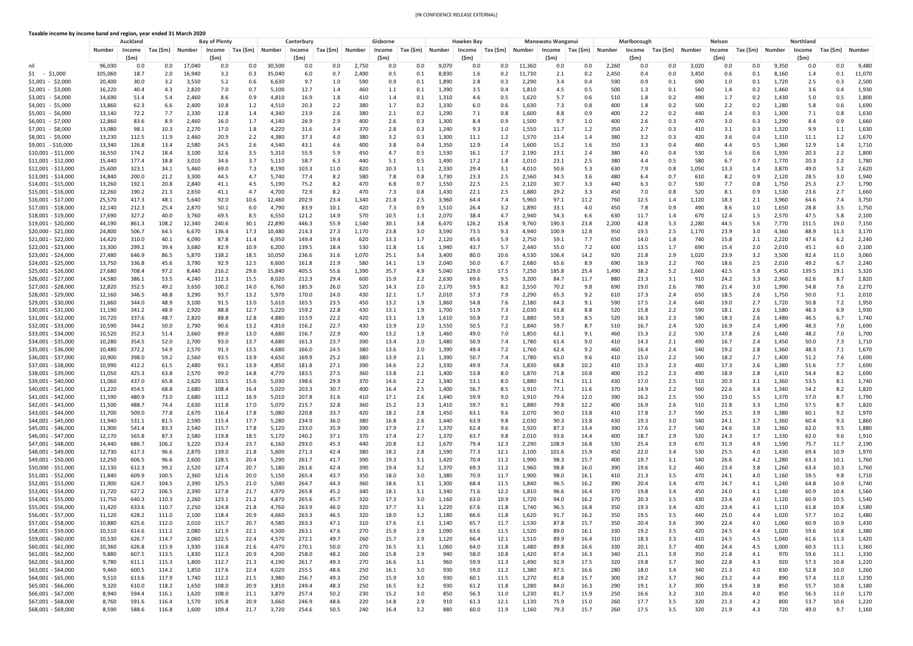**Taxable income by income band and region, year ended 31 March 2020**

|                                            |                  | <b>Auckland</b>        |                     |                 | <b>Bay of Plenty</b> |              |                  | Canterbury     |              |                | Gisborne                   |            |                | <b>Hawkes Bay</b> |                  |                | <b>Manawatu Wanganui</b> |                  |              | Marlborough            |                  |                | <b>Nelson</b>  |            |                | <b>Northland</b> |                    |                |
|--------------------------------------------|------------------|------------------------|---------------------|-----------------|----------------------|--------------|------------------|----------------|--------------|----------------|----------------------------|------------|----------------|-------------------|------------------|----------------|--------------------------|------------------|--------------|------------------------|------------------|----------------|----------------|------------|----------------|------------------|--------------------|----------------|
|                                            | <b>Number</b>    | Income                 | Tax $(\mathsf{Sm})$ | Number          | Income               | Tax (\$m)    | Number           | <b>Income</b>  | Tax (\$m)    | <b>Number</b>  | Income                     | Tax (\$m)  | Number         | Income            | $\mid$ Tax (\$m) | Number         | Income                   | $\mid$ Tax (\$m) | Number       | <b>Income</b>          | $\mid$ Tax (\$m) | <b>Number</b>  | Income         | Tax (\$m)  | <b>Number</b>  | Income           | Tax (\$m)          | <b>Number</b>  |
| nil                                        | 96,030           | $(\mathsf{5m})$<br>0.0 | $0.0\,$             | 17,040          | (\$m)<br>0.0         | 0.0          | 30,500           | (\$m)<br>0.0   | 0.0          | 2,750          | (\$m)<br>$0.0\,$           | 0.0        | 9,070          | $(\$m)$<br>0.0    | $0.0\,$          | 11,360         | $(\$m)$<br>0.0           | 0.0              | 2,260        | $(\mathsf{5m})$<br>0.0 | 0.0              | 3,020          | $(\$m)$<br>0.0 | 0.0        | 9,350          | (Sm)<br>0.0      | 0.0                | 9,480          |
| $$1 - $1,000$                              | 105,060          | 18.7                   | 2.0                 | 16,940          | 3.2                  | 0.3          | 35,040           | 6.0            | 0.7          | 2,490          | 0.5                        | 0.2        | 8,830          | 1.6               | 0.2              | 11,730         | 2.1                      | 0.2              | 2,450        | 0.4                    | 0.0              | 3,450          | 0.6            | 0.1        | 8,160          | 1.4              |                    | 11,070         |
| \$1,001 - \$2,000                          | 20,400           | 30.0                   | 3.2                 | 3,550           | 5.2                  | 0.6          | 6,630            | 9.7            | 1.0          | 590            | 0.9                        | 0.2        | 1,890          | 2.8               | 0.3              | 2,290          | 3.4                      | 0.4              | 590          | 0.9                    | 0.1              | 690            | 1.0            | 0.1        | 1,720          | 2.5              | 0.3                | 2,500          |
| \$2,001 - \$3,000                          | 16,220           | 40.4                   | 4.3                 | 2,820           | 7.0                  | 0.7          | 5,100            | 12.7           | 1.4          | 460            | 1.1                        | 0.2        | 1,390          | 3.5               | 0.4              | 1,810          | 4.5                      | 0.5              | 500          | 1.3                    | 0.1              | 560            | 1.4            | 0.2        | 1,460          | 3.6              |                    | 1,930          |
| \$3,001 - \$4,000<br>\$4,001 - \$5,000     | 14,690<br>13,860 | 51.4<br>62.3           | 5.4<br>6.6          | 2,460<br>2,400  | 8.6<br>10.8          | 0.9<br>1.2   | 4,810<br>4,510   | 16.9<br>20.3   | 1.8<br>2.2   | 410<br>380     | 1.4<br>1.7                 | 0.1<br>0.2 | 1,310<br>1,330 | 4.6<br>6.0        | 0.5<br>0.6       | 1,620<br>1,630 | 5.7<br>7.3               | 0.6<br>0.8       | 510<br>400   | 1.8<br>1.8             | 0.2<br>0.2       | 490<br>500     | 1.7<br>2.2     | 0.2<br>0.2 | 1,430<br>1,280 | 5.0<br>5.8       | 0.5<br>0.6         | 1,800<br>1,690 |
| \$5,001 - \$6,000                          | 13,140           | 72.2                   | 7.7                 | 2,330           | 12.8                 | 1.4          | 4,340            | 23.9           | 2.6          | 380            | 2.1                        | 0.2        | 1,290          | 7.1               | 0.8              | 1,600          | 8.8                      | 0.9              | 400          | 2.2                    | 0.2              | 440            | 2.4            | 0.3        | 1,300          | 7.1              | 0.8                | 1,630          |
| \$6,001 - \$7,000                          | 12,860           | 83.6                   | 8.9                 | 2,460           | 16.0                 | 1.7          | 4,140            | 26.9           | 2.9          | 400            | 2.6                        | 0.3        | 1,300          | 8.4               | 0.9              | 1,500          | 9.7                      | 1.0              | 400          | 2.6                    | 0.3              | 470            | 3.0            | 0.3        | 1,290          | 8.4              | 0.9                | 1,660          |
| \$7,001 - \$8,000                          | 13,080           | 98.1                   | 10.3                | 2,270           | 17.0                 | 1.8          | 4,220            | 31.6           | 3.4          | 370            | 2.8                        | 0.3        | 1,240          | 9.3               | $1.0\,$          | 1,550          | 11.7                     | 1.2              | 350          | 2.7                    | 0.3              | 410            | 3.1            | 0.3        | 1,320          | 9.9              |                    | 1,630          |
| \$8,001 - \$9,000<br>\$9,001 - \$10,000    | 13,230<br>13,340 | 112.5<br>126.8         | 11.9<br>13.4        | 2,460<br>2,580  | 20.9                 | 2.2          | 4,380            | 37.3           | 4.0          | 380            | 3.2                        | 0.3<br>0.4 | 1,300<br>1,350 | 11.1              | 1.2              | 1,570<br>1,600 | 13.4                     | 1.4              | 380          | 3.2                    | 0.3              | 420<br>460     | 3.6            | 0.4        | 1,310<br>1,360 | 11.1<br>12.9     | $1.2^{\circ}$      | 1,670<br>1,710 |
| \$10,001 - \$11,000                        | 16,550           | 174.2                  | 18.4                | 3,100           | 24.5<br>32.6         | 2.6<br>3.5   | 4,540<br>5,310   | 43.1<br>55.9   | 4.6<br>5.9   | 400<br>450     | 3.8<br>4.7                 | 0.5        | 1,530          | 12.9<br>16.1      | 1.4<br>1.7       | 2,190          | 15.2<br>23.1             | 1.6<br>2.4       | 350<br>380   | 3.3<br>4.0             | 0.4<br>0.4       | 530            | 4.4<br>5.6     | 0.5<br>0.6 | 1,930          | 20.3             |                    | 1,800          |
| \$11,001 - \$12,000                        | 15,440           | 177.4                  | 18.8                | 3,010           | 34.6                 | 3.7          | 5,110            | 58.7           | 6.3          | 440            | 5.1                        | 0.5        | 1,490          | 17.2              | 1.8              | 2,010          | 23.1                     | 2.5              | 380          | 4.4                    | 0.5              | 580            | 6.7            | 0.7        | 1,770          | 20.3             |                    | 1,780          |
| \$12,001 - \$13,000                        | 25,600           | 323.1                  | 34.1                | 5,460           | 69.0                 | 7.3          | 8,190            | 103.3          | 11.0         | 820            | 10.3                       | 1.1        | 2,330          | 29.4              | 3.1              | 4,010          | 50.6                     | 5.3              | 630          | 7.9                    | 0.8              | .,050          | 13.3           | 1.4        | 3,870          | 49.0             |                    | 2,620          |
| \$13,001 - \$14,000                        | 14,840           | 200.0                  | 21.2                | 3,300           | 44.5                 | 4.7          | 5,740            | 77.4           | 8.2          | 580            | 7.8                        | 0.8        | 1,730          | 23.3              | 2.5              | 2,560          | 34.5                     | 3.6              | 480          | 6.4                    | 0.7              | 610            | 8.2            | 0.9        | 2,120          | 28.5             | 3.0                | 1,940          |
| \$14,001 - \$15,000<br>\$15,001 - \$16,000 | 13,260<br>12,260 | 192.1<br>190.2         | 20.8<br>21.3        | 2,840<br>2,650  | 41.1<br>41.1         | 4.5<br>4.7   | 5,190<br>4,700   | 75.2<br>72.9   | 8.2<br>8.2   | 470<br>470     | 6.8<br>7.3                 | 0.7<br>0.8 | 1,550<br>1,430 | 22.5<br>22.1      | 2.5<br>2.5       | 2,120<br>1,880 | 30.7<br>29.2             | 3.3<br>3.3       | 440<br>450   | 6.3<br>7.0             | 0.7<br>0.8       | 530<br>520     | 7.7<br>8.1     | 0.8<br>0.9 | 1,750<br>1,530 | 25.3<br>23.6     | 2.7                | 1,790<br>1,660 |
| \$16,001 - \$17,000                        | 25,570           | 417.3                  | 48.1                | 5,640           | 92.0                 | 10.6         | 12,460           | 202.9          | 23.4         | 1,340          | 21.8                       | 2.5        | 3,960          | 64.4              | 7.4              | 5,960          | 97.1                     | 11.2             | 760          | 12.5                   | 1.4              | L <b>,120</b>  | 18.3           | 2.1        | 3,960          | 64.6             | 7.4                | 3,750          |
| \$17,001 - \$18,000                        | 12,140           | 212.3                  | 25.4                | 2,870           | 50.1                 | 6.0          | 4,790            | 83.9           | <u>10.1</u>  | 420            | 7.3                        | 0.9        | 1,510          | 26.4              | 3.2              | 1,890          | -33.1                    | 4.0              | 450          | 7.8                    | 0.9              | 490            | 8.6            | 1.0        | 1,650          | 28.8             | 3.5                | 1,750          |
| \$18,001 - \$19,000                        | 17,690           | 327.2                  | 40.0                | 3,760           | 69.5                 | 8.5          | 6,550            | 121.2          | 14.9         | 570            | 10.5                       | 1.3        | 2,070          | 38.4              | 4.7              | 2,940          | 54.3                     | 6.6              | 630          | 11.7                   | 1.4              | 670            | 12.4           | $1.5\,$    | 2,570          | 47.5             | 5.8                | 2,100          |
| \$19,001 - \$20,000<br>\$20,000 - \$21,000 | 44,190<br>24,800 | 861.3<br>506.7         | 108.2<br>64.5       | 12,340<br>6,670 | 240.6<br>136.4       | 30.1<br>17.3 | 22,890<br>10,480 | 446.3<br>214.3 | 55.9<br>27.3 | 1,540<br>1,170 | 30.1<br>23.8               | 3.8<br>3.0 | 6,470<br>3,590 | 126.2<br>73.5     | 15.8<br>9.3      | 9,760<br>4,940 | 190.3<br>100.9           | 23.8<br>12.8     | 2,200<br>950 | 42.8<br>19.5           | 5.3<br>2.5       | 2,280<br>1,170 | 44.5<br>23.9   | 5.6<br>3.0 | 7,770<br>4,360 | 151.5<br>88.9    | 19.0<br>11.3       | 7,150<br>3,170 |
| \$21,001 - \$22,000                        | 14,420           | 310.0                  | 40.1                | 4,090           | 87.8                 | 11.4         | 6,950            | 149.4          | 19.4         | 620            | 13.3                       | 1.7        | 2,120          | 45.6              | 5.9              | 2,750          | 59.1                     | 7.7              | 650          | 14.0                   | 1.8              | 740            | 15.8           | 2.1        | 2,220          | 47.6             |                    | 2,240          |
| \$22,001 - \$23,000                        | 13,300           | 299.2                  | 39.4                | 3,680           | 82.9                 | 10.9         | 6,200            | 139.5          | 18.4         | 530            | 11.8                       |            | 1,940          | 43.7              | 5.7              | 2,440          | 55.0                     | 7.2              | 600          | 13.5                   | 1.7              | 690            | 15.4           | 2.0        | 2,010          | 45.1             |                    | 2,100          |
| \$23,001 - \$24,000                        | 27,480           | 646.9                  | 86.5                | 5,870           | 138.2                | 18.5         | 10,050           | 236.6          | 31.6         | 1,070          | 25.1                       | 3.4        | 3,400          | 80.0              | 10.6             | 4,530          | 106.4                    | 14.2             | 920          | 21.8                   | 2.9              | 1,020          | 23.9           | 3.2        | 3,500          | 82.4             | 11.0               | 3,060          |
| \$24,001 - \$25,000                        | 13,750           | 336.8                  | 45.6                | 3,790           | 92.9                 | 12.5         | 6,600            | 161.8          | 21.9         | 580            | 14.1                       | 1.9        | 2,040          | 50.0              | 6.7              | 2,680          | 65.6                     | 8.9              | 690          | 16.9                   | 2.2              | 760            | 18.6           | 2.5        | 2,010          | 49.2             |                    | 2,240          |
| \$25,001 - \$26,000<br>\$26,001 - \$27,000 | 27,680<br>14,580 | 708.4<br>386.1         | 97.2<br>53.5        | 8,440<br>4,240  | 216.2<br>112.3       | 29.6<br>15.5 | 15,840<br>8,020  | 405.5<br>212.3 | 55.6<br>29.4 | 1,390<br>600   | 35.7<br>15.9               | 4.9<br>2.2 | 5,040<br>2,630 | 129.0<br>69.6     | 17.5<br>9.5      | 7,250<br>3,200 | 185.8<br>84.7            | 25.4<br>11.7     | 1,490<br>880 | 38.2<br>23.3           | 5.2<br>3.1       | 1,660<br>910   | 42.5<br>24.2   | 5.8<br>3.3 | 5,450<br>2,360 | 139.5<br>62.6    | 19.1<br>$\Omega$ 7 | 5,320<br>2,820 |
| \$27,001 - \$28,000                        | 12,820           | 352.5                  | 49.2                | 3,650           | 100.2                | 14.0         | 6,760            | 185.9          | 26.0         | 520            | 14.3                       | 2.0        | 2,170          | 59.5              | 8.2              | 2,550          | 70.2                     | 9.8              | 690          | 19.0                   | 2.6              | 780            | 21.4           | 3.0        | 1,990          | 54.8             | 7.6                | 2,270          |
| \$28,001 - \$29,000                        | 12,160           | 346.5                  | 48.8                | 3,290           | 93.7                 | 13.2         | 5,970            | 170.0          | 24.0         | 430            | 12.1                       | 1.7        | 2,010          | 57.3              | 7.9              | 2,290          | 65.3                     | 9.2              | 610          | 17.3                   | 2.4              | 650            | 18.5           | 2.6        | 1,750          | 50.0             |                    | 2,010          |
| \$29,001 - \$30,000                        | 11,660           | 344.0                  | 48.9                | 3,100           | 91.5                 | 13.0         | 5,610            | 165.5          | 23.5         | 450            | 13.2                       | 1.9        | 1,860          | 54.8              | 7.6              | 2,180          | 64.3                     | 9.1              | 590          | 17.5                   | 2.4              | 640            | 19.0           | 2.7        | 1,720          | 50.8             |                    | 1,950          |
| \$30,001 - \$31,000<br>\$31,001 - \$32,000 | 11,190<br>10,720 | 341.2<br>337.6         | 48.9<br>48.7        | 2,920<br>2,820  | 88.8<br>88.8         | 12.7<br>12.8 | 5,220<br>4,880   | 159.2<br>153.9 | 22.8<br>22.2 | 430<br>420     | <u>13.1</u><br><u>13.1</u> | 1.9<br>1.9 | 1,700<br>1,610 | 51.9<br>50.8      | 7.3<br>7.2       | 2,030<br>1,880 | 61.8<br>59.3             | 8.8<br>8.5       | 520<br>520   | 15.8<br>16.3           | 2.2<br>2.3       | 590<br>580     | 18.1<br>18.3   | 2.6<br>2.6 | 1,580<br>1,480 | 48.3<br>46.5     |                    | 1,930<br>1,740 |
| \$32,001 - \$33,000                        | 10,590           | 344.2                  | 50.0                | 2,790           | 90.6                 | 13.2         | 4,810            | 156.2          | 22.7         | 430            | 13.9                       | 2.0        | 1,550          | 50.5              | 7.2              | 1,840          | 59.7                     | 8.7              | 510          | 16.7                   | 2.4              | 520            | 16.9           | 2.4        | 1,490          | 48.3             | 7.0                | 1,690          |
| \$33,001 - \$34,000                        | 10,520           | 352.3                  | 51.4                | 2,660           | 89.0                 | 13.0         | 4,680            | 156.7          | 22.9         | 400            | 13.2                       | 1.9        | 1,460          | 49.0              | 7.0              | 1,850          | 62.1                     | 9.1              | 460          | 15.3                   | 2.2              | 530            | 17.8           | 2.6        | 1,440          | 48.2             |                    | 1,700          |
| \$34,001 - \$35,000                        | 10,280           | 354.5                  | 52.0                | 2,700           | 93.0                 | 13.7         | 4,680            | 161.3          | 23.7         | 390            | 13.4                       | 2.0        | 1,480          | 50.9              | 7.4              | 1,780          | 61.4                     | 9.0              | 410          | 14.3                   | 2.1              | 490            | 16.7           | 2.4        | 1,450          | 50.0             | 7.3                | 1,710          |
| \$35,001 - \$36,000                        | 10,480           | 372.2                  | 54.9                | 2,570           | 91.3                 | 13.5         | 4,680            | 166.0          | 24.5         | 380            | 13.6                       | 2.0        | 1,390          | 49.4              | 7.2              | 1,760          | 62.4                     | 9.2              | 460          | 16.4                   | 2.4              | 540            | 19.2           | 2.8        | 1,360          | 48.3             |                    | 1,670          |
| \$36,001 - \$37,000<br>\$37,001 - \$38,000 | 10,900<br>10,990 | 398.0<br>412.2         | 59.2<br>61.5        | 2,560<br>2,480  | 93.5<br>93.1         | 13.9<br>13.9 | 4,650<br>4,850   | 169.9<br>181.8 | 25.2<br>27.1 | 380<br>390     | 13.9<br>14.6               | 2.1<br>2.2 | 1,390<br>1,330 | 50.7<br>49.9      | 7.4<br>7.4       | 1,780<br>1,830 | 65.0<br>68.8             | 9.6<br>10.2      | 410<br>410   | 15.0<br>15.3           | 2.2<br>2.3       | 500<br>460     | 18.2<br>17.3   | 2.7<br>2.6 | 1,400<br>1,380 | 51.2<br>51.6     | 7.6                | 1,690<br>1,690 |
| \$38,001 - \$39,000                        | 11,050           | 425.3                  | 63.8                | 2,570           | 99.0                 | 14.8         | 4,770            | 183.5          | 27.5         | 360            | 13.8                       |            | 1,400          | 53.8              | 8.0              | 1,870          | 71.8                     | 10.8             |              | 15.2                   | 2.3              | 490            | 18.9           | 2.8        | 1,410          | 54.4             |                    | 1,690          |
| \$39,001 - \$40,000                        | 11,060           | 437.0                  | 65.8                | 2,620           | 103.5                | 15.6         | 5,030            | 198.6          | 29.9         | 370            | 14.6                       | 2.2        | 1,340          | 53.1              | 8.0              | 1,880          | 74.1                     | 11.1             | 430          | 17.0                   | 2.5              | 510            | 20.3           | 3.1        | 1,360          | 53.5             |                    | 1,740          |
| \$40,001 - \$41,000                        | 11,220           | 454.5                  | 68.8                | 2,680           | 108.4                | 16.4         | 5,020            | 203.3          | 30.7         | 400            | 16.4                       |            | 1,400          | 56.7              | 8.5              | 1,910          | 77.1                     | 11.6             | 370          | 14.9                   | 2.2              | 560            | 22.6           | 3.4        | 1,340          | 54.2             |                    | 1,820          |
| \$41,001 - \$42,000<br>\$42,001 - \$43,000 | 11,590<br>11,500 | 480.9<br>488.7         | 73.0<br>74.4        | 2,680<br>2,630  | 111.2<br>111.8       | 16.9<br>17.0 | 5,010<br>5,070   | 207.8<br>215.7 | 31.6<br>32.8 | 410<br>360     | 17.1<br>15.2               | 2.3        | 1,440<br>1,410 | 59.9<br>59.7      | 9.0<br>9.1       | 1,910<br>1,880 | 79.4<br>79.8             | 12.0<br>12.2     | 390<br>400   | 16.2<br>16.9           | 2.5<br>2.6       | 550<br>510     | 23.0<br>21.8   | 3.5<br>3.3 | 1,370<br>1,350 | 57.0<br>57.5     |                    | 1,790<br>1,820 |
| \$43,001 - \$44,000                        | 11,700           | 509.0                  | 77.8                | 2,670           | 116.4                | 17.8         | 5,080            | 220.8          | 33.7         | 420            | 18.2                       | 2.8        | 1,450          | 63.1              | 9.6              | 2,070          | 90.0                     | 13.8             | 410          | 17.8                   | 2.7              | 590            | 25.5           | 3.9        | 1,380          | 60.1             |                    | 1,970          |
| \$44,001 - \$45,000                        | 11,940           | 531.1                  | 81.5                | 2,590           | 115.4                | 17.7         | 5,280            | 234.9          | 36.0         | 380            | 16.8                       |            | 1,440          | 63.9              | 9.8              | 2,030          | 90.3                     | 13.8             | 430          | 19.3                   | 3.0              | 540            | 24.1           | 3.7        | 1,360          | 60.4             |                    | 1,860          |
| \$45,001 - \$46,000                        | 11,900           | 541.4                  | 83.3                | 2,540           | 115.7                | 17.8         | 5,120            | 233.0          | 35.9         | 390            | 17.9                       | 2.7        | 1,370          | 62.4              | 9.6              | 1,920          | 87.3                     | 13.4             | 390          | 17.6                   | 2.7              | 540            | 24.6           | 3.8        | 1,360          | 62.0             |                    | 1,880          |
| \$46,001 - \$47,000                        | 12,170           | 565.8                  | 87.3                | 2,580           | 119.8                | 18.5         | 5,170            | 240.2          | 37.1         | 370            | 17.4                       | 2.7        | 1,370          | 63.7              | 9.8              | 2,010          | 93.6                     | 14.4             | 400          | 18.7                   | 2.9              | 520            | 24.3           | 3.7        | 1,330          | 62.0             | 9.6                | 1,910          |
| \$47,001 - \$48,000<br>\$48,001 - \$49,000 | 14,440<br>12,730 | 686.7<br>617.3         | 106.2<br>96.6       | 3,220<br>2,870  | 153.4<br>139.0       | 23.7<br>21.8 | 6,160<br>5,600   | 293.0<br>271.3 | 45.3<br>42.4 | 440<br>380     | 20.8<br>18.2               | 3.2<br>2.8 | 1,670<br>1,590 | 79.4<br>77.3      | 12.3<br>12.1     | 2,290<br>2,100 | 108.9<br>101.6           | 16.8<br>15.9     | 530<br>450   | 25.4<br>22.0           | 3.9<br>3.4       | 670<br>530     | 31.9<br>25.5   | 4.9<br>4.0 | 1,590<br>1,430 | 75.7<br>69.4     | 11.7<br>10.9       | 2,190<br>1,970 |
| \$49,001 - \$50,000                        | 12,250           | 606.5                  | 96.6                | 2,600           | 128.5                | 20.4         | 5,290            | 261.7          | 41.7         | 390            | 19.3                       | 3.1        | 1,420          | 70.4              | 11.2             | 1,990          | 98.3                     | 15.7             |              | 19.7                   | 3.1              | 540            | 26.6           | 4.2        | 1,280          | 63.3             | 10.1               | 1,760          |
| \$50,000 - \$51,000                        | 12,130           | 612.3                  | 99.2                | 2,520           | 127.4                | 20.7         | 5,180            | 261.6          | 42.4         | 390            | 19.4                       | 3.2        | 1,370          | 69.3              | 11.2             | 1,960          | 98.8                     | 16.0             | 390          | 19.6                   | 3.2              | 460            | 23.4           | 3.8        | 1,260          | 63.4             | 10.3               | 1,760          |
| \$51,001 - \$52,000                        | 11,840           | 609.9                  | 100.5               | 2,360           | 121.6                | 20.0         | 5,150            | 265.4          | 43.7         | 350            | 18.0                       | 3.0        | 1,380          | 70.9              | 11.7             | 1,900          | 98.0                     | 16.1             | 410          | 21.3                   | 3.5              | 470            | 24.1           | 4.0        | 1,160          | 59.5             |                    | 1,710          |
| \$52,001 - \$53,000<br>\$53,001 - \$54,000 | 11,900<br>11,720 | 624.7<br>627.2         | 104.5<br>106.5      | 2,390<br>2,390  | 125.5<br>127.8       | 21.0<br>21.7 | 5,040<br>4,970   | 264.7<br>265.8 | 44.3<br>45.2 | 360<br>340     | 18.6<br><u>18.1</u>        | 3.1<br>3.1 | 1,300<br>1,340 | 68.4<br>71.6      | 11.5<br>12.2     | 1,840<br>1,810 | 96.5<br>96.6             | 16.2<br>16.4     | 390<br>370   | 20.4<br>19.8           | 3.4<br>3.4       | 470<br>450     | 24.7<br>24.0   | 4.1<br>4.1 | 1,240<br>1,140 | 64.8<br>60.9     | 10.9<br>10.4       | 1,740<br>1,560 |
| \$54,001 - \$55,000                        | 11,750           | 640.3                  | 110.3               | 2,260           | 123.1                | 21.2         | 4,870            | 265.6          | 45.7         | 320            | 17.3                       | 3.0        | 1,160          | 63.0              | 10.9             | 1,720          | 94.0                     | 16.2             | 370          | 20.3                   | 3.5              | 430            | 23.4           | 4.0        | 1,120          | 60.9             | 10.5               | 1,540          |
| \$55,001 - \$56,000                        | 11,420           | 633.6                  | 110.7               | 2,250           | 124.8                | 21.8         | 4,760            | 263.9          | 46.0         | 320            | 17.7                       | 3.1        | 1,220          | 67.6              | 11.8             | 1,740          | 96.5                     | 16.8             | 350          | 19.3                   | 3.4              | 420            | 23.4           | 4.1        | 1,110          | 61.8             | 10.8               | 1,580          |
| \$56,001 - \$57,000                        | 11,120           | 628.2                  | 111.0               | 2,100           | 118.4                | 20.9         | 4,660            | 263.3          | 46.5         | 320            | 18.0                       | 3.2        | 1,180          | 66.6              | 11.8             | 1,620          | 91.7                     | 16.2             | 350          | 19.5                   | 3.5              | 440            | 25.0           | 4.4        | 1,020          | 57.7             | 10.2               | 1,480          |
| \$57,001 - \$58,000                        | 10,880           | 625.6                  | 112.0               | 2,010           | 115.7                | 20.7         | 4,580            | 263.3          | 47.1         | 310            | 17.6                       | 3.1        | 1,140          | 65.7              | 11.7             | 1,530          | 87.8                     | 15.7             | 350          | 20.4                   | 3.6              | 390            | 22.4           | 4.0        | 1,060          | 60.9             | 10.9               | 1,430          |
| \$58,001 - \$59,000<br>\$59,001 - \$60,000 | 10,510<br>10,530 | 614.6<br>626.7         | 111.2<br>114.7      | 2,080<br>2,060  | 121.9<br>122.5       | 22.1<br>22.4 | 4,500<br>4,570   | 263.1<br>272.1 | 47.6<br>49.7 | 270<br>260     | 15.9<br>15.7               | 2.9<br>2.9 | 1,090<br>1,120 | 63.6<br>66.4      | 11.5<br>12.1     | 1,520<br>1,510 | 89.0<br>89.9             | 16.1<br>16.4     | 330<br>310   | 19.2<br>18.3           | 3.5<br>3.3       | 420<br>410     | 24.5<br>24.5   | 4.4<br>4.5 | 1,020<br>1,040 | 59.6<br>61.6     | 10.8<br>11.3       | 1,380<br>1,420 |
| \$60,001 - \$61,000                        | 10,360           | 626.8                  | 115.9               | 1,930           | 116.8                | 21.6         | 4,470            | 270.1          | 50.0         | 270            | 16.5                       | 3.1        | 1,060          | 64.0              | 11.8             | 1,480          | 89.8                     | 16.6             | 330          | 20.1                   | 3.7              | 400            | 24.4           | 4.5        | 1,000          | 60.3             | 11.1               | 1,360          |
| \$61,001 - \$62,000                        | 9,880            | 607.5                  | 113.5               | 1,830           | 112.3                | 20.9         | 4,200            | 258.0          | 48.2         | 260            | 15.8                       | 2.9        | 940            | 58.0              | 10.8             | 1,420          | 87.4                     | 16.3             | 340          | 21.1                   | 3.9              | 350            | 21.8           | 4.1        | 970            | 59.6             | 11.1               | 1,330          |
| \$62,001 - \$63,000                        | 9,780            | 611.1                  | 115.3               | 1,800           | 112.7                | 21.3         | 4,190            | 261.7          | 49.3         | 270            | 16.6                       | 3.1        | 960            | 59.9              | 11.3             | 1,490          | 92.9                     | 17.5             | 320          | 19.8                   | 3.7              | 360            | 22.8           | 4.3        | 920            | 57.3             | 10.8               | 1,220          |
| \$63,001 - \$64,000<br>\$64,001 - \$65,000 | 9,460            | 600.5<br>613.6         | 114.2<br>117.9      | 1,850<br>1,740  | 117.6<br>112.2       | 22.4<br>21.5 | 4,020            | 255.5<br>256.7 | 48.6         | 250<br>250     | 16.1<br>15.9               | 3.0        | 930            | 59.0              | 11.2             | 1,380          | 87.5                     | 16.6             | 280          | 18.0                   | 3.4              | 340<br>360     | 21.3           | 4.0        | 830            | 52.8<br>57.4     | 10.0<br>11.0       | 1,260<br>1,230 |
| \$65,001 - \$66,000                        | 9,510<br>9,320   | 610.0                  | 118.2               | 1,650           | 108.0                | 20.9         | 3,980<br>3,810   | 249.4          | 49.3<br>48.3 | 250            | 16.5                       | 3.0<br>3.2 | 930<br>930     | 60.1<br>61.2      | 11.5<br>11.8     | 1,270<br>1,280 | 81.8<br>84.0             | 15.7<br>16.3     | 300<br>290   | 19.2<br>19.1           | 3.7<br>3.7       | 300            | 23.2<br>19.4   | 4.4<br>3.8 | 890<br>850     | 55.7             | 10.8               | 1,180          |
| \$66,001 - \$67,000                        | 8,940            | 594.4                  | 116.1               | 1,620           | 108.0                | 21.1         | 3,870            | 257.4          | 50.2         | 230            | 15.2                       | 3.0        | 850            | 56.3              | 11.0             | 1,230          | 81.7                     | 15.9             | 250          | 16.6                   | 3.2              | 310            | 20.4           | 4.0        | 850            | 56.3             | 11.0               | 1,170          |
| \$67,001 - \$68,000                        | 8,760            | 591.6                  | 116.4               | 1,570           | 105.8                | 20.9         | 3,660            | 246.9          | 48.6         | 220            | 14.8                       | 2.9        | 910            | 61.3              | 12.1             | 1,130          | 75.9                     | 15.0             | 260          | 17.7                   | 3.5              | 320            | 21.3           | 4.2        | 800            | 53.7             | 10.6               | 1,220          |
| \$68,001 - \$69,000                        | 8,590            | 588.6                  | 116.8               | 1,600           | 109.4                | 21.7         | 3,720            | 254.6          | 50.5         | 240            | 16.4                       | 3.2        | 880            | 60.0              | 11.9             | 1,160          | 79.3                     | 15.7             | 260          | 17.5                   | 3.5              | 320            | 21.9           | 4.3        | 720            | 49.0             | 9.7                | 1,160          |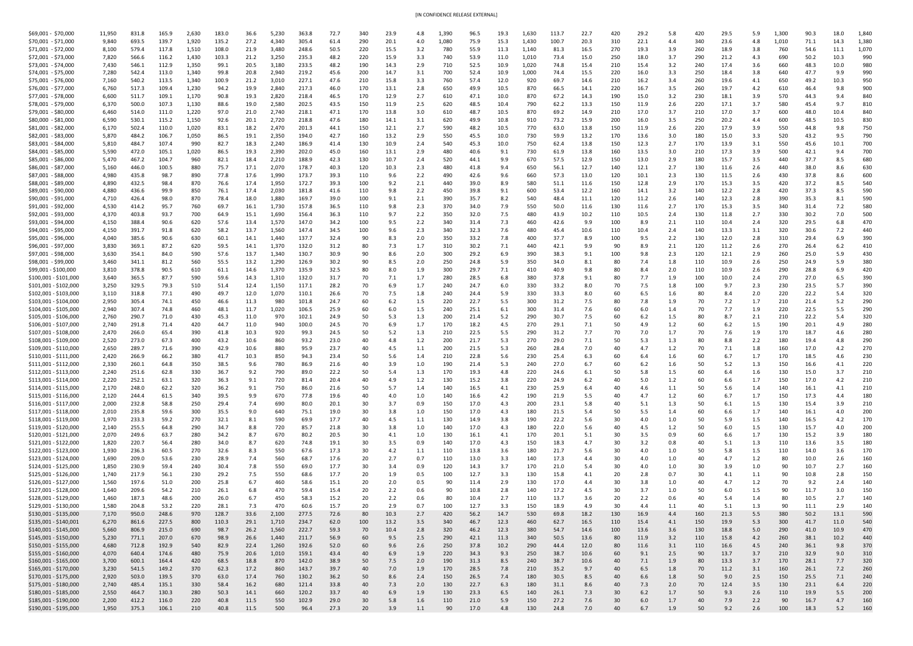| [IN CONFIDENCE RELEASE EXTERNAL] |  |
|----------------------------------|--|
|                                  |  |

| \$69,001 - \$70,000                            | 11,950         | 831.8          | 165.9          | 2,630          | 183.0         | 36.6         | 5,230          | 363.8          | 72.7         | 340        | 23.9         | 4.8        | 1,390      | 96.5         | 19.3         | 1,630             | 113.7        | 22.7         | 420        | 29.2         | 5.8        | 420        | 29.5         | 5.9              | 1,300      | 90.3                | L8.0        | 1,840      |
|------------------------------------------------|----------------|----------------|----------------|----------------|---------------|--------------|----------------|----------------|--------------|------------|--------------|------------|------------|--------------|--------------|-------------------|--------------|--------------|------------|--------------|------------|------------|--------------|------------------|------------|---------------------|-------------|------------|
| \$70,001 - \$71,000                            | 9,840          | 693.5          | 139.7          | 1,920          | 135.2         | 27.2         | 4,340          | 305.4          | 61.4         | 290        | 20.1         | 4.0        | 1,080      | 75.9         | 15.3         | 1,430             | 100.7        | 20.3         | 310        | 22.1         | 4.4        | 340        | 23.6         | 4.8              | 1,010      | 71.1                | 14.3        | 1,380      |
| \$71,001 - \$72,000                            | 8,100          | 579.4          | 117.8          | 1,510          | 108.0         | 21.9         | 3,480          | 248.6          | 50.5         | 220        | 15.5         | 3.2        | 780        | 55.9         | 11.3         | 1,140             | 81.3         | 16.5         | 270        | 19.3         | 3.9        | 260        | 18.9         | 3.8              | 760        | 54.6                | 11.1        | 1,070      |
| \$72,001 - \$73,000                            | 7,820          | 566.6          | 116.2          | 1,430          | 103.3         | 21.2         | 3,250          | 235.3          | 48.2         | 220        | 15.9         | 3.3        | 740        | 53.9         | 11.0         | 1,010             | 73.4         | 15.0         | 250        | 18.0         | 3.7        | 290        | 21.2         | 4.3              | 690        | 50.2                | 10.3        | 990        |
| \$73,001 - \$74,000                            | 7,430          | 546.1          | 112.9          | 1,350          | 99.1          | 20.5         | 3,180          | 233.5          | 48.2         | 190        | 14.3         | 2.9        | 710        | 52.5         | 10.9         | 1,020             | 74.8         | 15.4         | 210        | 15.4         | 3.2        | 240        | 17.4         | 3.6              | 660        | 48.3                | 10.0        | 980        |
| \$74,001 - \$75,000                            | 7,280          | 542.4          | 113.0          | 1,340          | 99.8          | 20.8         | 2,940          | 219.2          | 45.6         | 200        | 14.7         | 3.1        | 700        | 52.4         | 10.9         | 1,000             | 74.4         | 15.5         | 220        | 16.0         | 3.3        | 250        | 18.4         | 3.8              | 640        | 47.7                | 9.9         | 990        |
| \$75,001 - \$76,000<br>\$76,001 - \$77,000     | 7,160<br>6,760 | 540.2<br>517.3 | 113.5<br>109.4 | 1,340<br>1,230 | 100.9<br>94.2 | 21.2<br>19.9 | 3,010<br>2,840 | 227.1<br>217.3 | 47.6<br>46.0 | 210<br>170 | 15.8<br>13.1 | 3.3        | 760<br>650 | 57.4<br>49.9 | 12.0<br>10.5 | 920<br>870        | 69.7         | 14.6<br>14.1 | 210<br>220 | 16.2         | 3.4        | 260<br>260 | 19.6<br>19.  | 4.1<br>4.2       | 650        | 49.2<br>46.4        | 10.3<br>9.8 | 950<br>900 |
| \$77,001 - \$78,000                            | 6,600          | 511.7          | 109.1          | 1,170          | 90.8          | 19.3         | 2,820          | 218.4          | 46.5         | 170        | 12.9         | 2.8<br>2.7 | 610        | 47.1         | 10.0         | 870               | 66.5<br>67.2 | 14.3         | 190        | 16.7<br>15.0 | 3.5<br>3.2 | 230        | 18.1         | 3.9              | 610<br>570 | 44.3                | 9.4         | 840        |
| \$78,001 - \$79,000                            | 6,370          | 500.0          | 107.3          | 1,130          | 88.6          | 19.0         | 2,580          | 202.5          | 43.5         | 150        | 11.9         | 2.5        | 620        | 48.5         | 10.4         | 790               | 62.2         | 13.3         | <u>150</u> | 11.9         | 2.6        | 220        | 17.1         | 3.7              | 580        | 45.4                | -9.7        | 810        |
| \$79,001 - \$80,000                            | 6,460          | 514.0          | 111.0          | 1,220          | 97.0          | 21.0         | 2,740          | 218.1          | 47.1         | 170        | 13.8         | 3.0        | 610        | 48.7         | 10.5         | 870               | 69.2         | 14.9         | 210        | 17.0         | 3.7        | 210        | 17.0         | 3.7              | 600        | 48.0                | 10.4        | 840        |
| \$80,000 - \$81,000                            | 6,590          | 530.1          | 115.2          | 1,150          | 92.6          | 20.1         | 2,720          | 218.8          | 47.6         | 180        | 14.1         | 3.1        | 620        | 49.9         | 10.8         | 910               | 73.2         | 15.9         | 200        | 16.0         | 3.5        | 250        | 20.2         | 4.4              | 600        | 48.5                | 10.5        | 830        |
| \$81,001 - \$82,000                            | 6,170          | 502.4          | 110.0          | 1,020          | 83.1          | 18.2         | 2,470          | 201.3          | 44.1         | 150        | 12.1         | 2.7        | 590        | 48.2         | 10.5         | 770               | 63.0         | 13.8         | 150        | 11.9         | 2.6        | 220        | 17.9         | 3.9              | 550        | 44.8                | 9.8         | 750        |
| \$82,001 - \$83,000                            | 5,870          | 484.2          | 106.7          | 1,050          | 86.5          | 19.1         | 2,350          | 194.0          | 42.7         | 160        | 13.2         | 2.9        | 550        | 45.5         | 10.0         | 730               | 59.9         | 13.2         | 170        | 13.6         | 3.0        | 180        | 15.0         | 3.3              | 520        | 43.2                | 9.5         | 790        |
| \$83,001 - \$84,000                            | 5,810          | 484.7          | 107.4          | 990            | 82.7          | 18.3         | 2,240          | 186.9          | 41.4         | 130        | <u> 10.9</u> | 2.4        | 540        | 45.3         | 10.0         | 750               | 62.4         | 13.8         | 150        | 12.3         | 2.7        | 170        | 13.9         | 3.1              | 550        | 45.6                | 10.1        | 700        |
| \$84,001 - \$85,000                            | 5,590          | 472.0          | 105.1          | 1,020          | 86.5          | 19.3         | 2,390          | 202.0          | 45.0         | 160        | 13.1         | 2.9        | 480        | 40.6         | 9.1          | 730               | 61.9         | 13.8         | 160        | 13.5         | 3.0        | 210        | 17.3         | 3.9              | 500        | 42.1                | 9.4         | 700        |
| \$85,001 - \$86,000<br>\$86,001 - \$87,000     | 5,470<br>5,160 | 467.2<br>446.0 | 104.7<br>100.5 | 960            | 82.1<br>75.7  | 18.4<br>17.1 | 2,210<br>2,070 | 188.9<br>178.7 | 42.3<br>40.3 | 130<br>120 | 10.7         | 2.4        | 520<br>480 | 44.1<br>41.8 | 9.9<br>9.4   | 670               | 57.5<br>56.1 | 12.9<br>12.7 | 150        | 13.0<br>12.1 | 2.9        | 180<br>130 | 15.7<br>11.6 | 3.5<br>2.6       | 440<br>440 | 37.7<br>38.0        | 8.5<br>8.6  | 680<br>630 |
| \$87,001 - \$88,000                            | 4,980          | 435.8          | 98.7           | 880<br>890     | 77.8          | 17.6         | 1,990          | 173.7          | 39.3         | 110        | 10.3<br>9.6  | 2.3<br>2.2 | 490        | 42.6         | 9.6          | 650<br>660        | 57.3         | 13.0         | 140<br>120 | 10.1         | 2.7<br>2.3 | 130        | 11.5         | 2.6              | 430        | 37.8                | 8.6         | 600        |
| \$88,001 - \$89,000                            | 4,890          | 432.5          | 98.4           | 870            | 76.6          | 17.4         | 1,950          | 172.7          | 39.3         | 100        | 9.2          | 2.1        | 440        | 39.0         | 8.9          | 580               | 51.1         | 11.6         | 150        | 12.8         | 2.9        | 170        | 15.3         | 3.5              | 420        | 37.2                |             | 540        |
| \$89,001 - \$90,000                            | 4,880          | 436.6          | 99.9           | 850            | 76.1          | 17.4         | 2,030          | 181.8          | 41.6         | 110        | 9.8          | 2.2        | 450        | 39.8         | 9.1          | 600               | 53.4         | 12.2         | 160        | 14.1         | 3.2        | 140        | 12.2         | 2.8              | 420        | 37.3                | 8.5         | 590        |
| \$90,001 - \$91,000                            | 4,710          | 426.4          | 98.0           | 870            | 78.4          | 18.0         | 1,880          | 169.7          | 39.0         | 100        | 9.1          | 2.1        | 390        | 35.7         | 8.2          | 540               | 48.4         | 11.1         | <u>120</u> | 11.2         | 2.6        | 140        | 12.3         | 2.8              | 390        | 35.3                | 8.          | 590        |
| \$91,001 - \$92,000                            | 4,530          | 414.2          | 95.7           | 760            | 69.7          | 16.1         | 1,730          | 157.8          | 36.5         | 110        | 9.8          | 2.3        | 370        | 34.0         | 7.9          | 550               | 50.0         | 11.6         | 130        | 11.6         | 2.7        | 170        | 15.3         | 3.5              | 340        | 31.4                | 7.2         | 580        |
| \$92,001 - \$93,000                            | 4,370          | 403.8          | 93.7           | 700            | 64.9          | 15.1         | ∫,690          | 156.4          | 36.3         | 110        | 9.7          | 2.2        | 350        | 32.0         | 7.5          | 480               | 43.9         | 10.2         | <u>110</u> | 10.5         | 2.4        | 130        | 11.8         | 2.7              | 330        | 30.2                | 7.0         | 500        |
| \$93,001 - \$94,000                            | 4,150          | 388.4          | 90.6           | 620            | 57.6          | 13.4         | 1,570          | 147.0          | 34.2         | 100        | 9.5          | 2.2        | 340        | 31.4         | 7.3          | 460               | 42.6         | 9.9          | 100        | 8.9          | 2.1        | 110        | 10.4         | 2.4              | 320        | 29.5                | 6.8         | 470        |
| \$94,001 - \$95,000                            | 4,150          | 391.7          | 91.8           | 620            | 58.2          | 13.7         | 1,560          | 147.4          | 34.5         | 100        | 9.6          | 2.3        | 340        | 32.3         | 7.6          | 480               | 45.4         | 10.6         | 110        | 10.4         | 2.4        | 140        | 13.3         | 3.1              | 320        | 30.6                | 7.2         | 440        |
| \$95,001 - \$96,000                            | 4,040          | 385.6          | 90.6           | 630            | 60.1          | 14.1         | 1,440          | 137.7          | 32.4         | 90         | 8.3          | 2.0        | 350        | 33.2         | 7.8          | 400               | 37.7         | 8.9          | 100        | 9.5          | 2.2        | 130        | 12.0         | 2.8              | 310        | 29.4                | 6.9         | 390        |
| \$96,001 - \$97,000<br>\$97,001 - \$98,000     | 3,830<br>3,630 | 369.1<br>354.1 | 87.2<br>84.0   | 620            | 59.5<br>57.6  | 14.1         | 1,370<br>1,340 | 132.0<br>130.7 | 31.2<br>30.9 | 80<br>90   | 7.3          | 1.7        | 310        | 30.2<br>29.2 | 7.1          | 440               | 42.1         | 9.9          | 90         | 8.9          | 2.1        | 120        | 11.2         | 2.6              | 270<br>260 | 26.4                | 6.2         | 410<br>430 |
| \$98,001 - \$99,000                            | 3,460          | 341.1          | 81.2           | 590<br>560     | 55.5          | 13.7<br>13.2 | 1,290          | 126.9          | 30.2         |            | 8.6<br>8.5   | 2.0<br>2.0 | 300<br>250 | 24.8         | 6.9<br>5.9   | 390<br>350        | 38.3<br>34.0 | 9.1<br>8.1   | 100        | 9.8<br>7.4   | 2.3<br>1.8 | 120<br>110 | 12.1<br>10.9 | 2.9<br>2.6       | 250        | 25.0<br>24.9        | 5.9<br>5.9  | 380        |
| \$99,001 - \$100,000                           | 3,810          | 378.8          | 90.5           | 610            | 61.1          | 14.6         | 1,370          | 135.9          | 32.5         |            | 8.0          | 1.9        | 300        | 29.7         | 7.1          | 410               | 40.9         | 9.8          | 80         |              | 2.0        | 110        | 10.9         | 2.6              | 290        | 28.8                |             | 420        |
| \$100,001 - \$101,000                          | 3,640          | 365.5          | 87.7           | 590            | 59.6          | 14.3         | 1,310          | 132.0          | 31.7         |            | 7.1          | 1.7        | 280        | 28.5         | 6.8          | 380               | 37.8         | 9.1          | 80         | 7.7          | 1.9        | 100        | 10.0         | 2.4              | 270        | 27.0                |             |            |
| \$101,001 - \$102,000                          | 3,250          | 329.5          | 79.3           | 510            | 51.4          | 12.4         | 1,150          | 117.1          | 28.2         |            | 6.9          | 1.7        | 240        | 24.7         | 6.0          | 330               | 33.2         | 8.0          | 70         | 7.5          | 1.8        | 100        | 9.7          | 2.3              | 230        | 23.5                |             | 390        |
| \$102,001 - \$103,000                          | 3,110          | 318.8          | 77.1           | 490            | 49.7          | 12.0         | 1,070          | 110.1          | 26.6         |            | 7.5          | 1.8        | 240        | 24.4         | 5.9          | 330               | 33.3         | 8.0          |            | 6.5          | 1.6        | 80         | 8.4          | 2.0              | 220        | 22.2                | -5.4        | 320        |
| \$103,001 - \$104,000                          | 2,950          | 305.4          | 74.1           | 450            | 46.6          | <u>11.3</u>  | 980            | 101.8          | 24.7         |            | 6.2          | 1.5        | 220        | 22.7         | 5.5          | 300               | 31.2         | 7.5          | 80         | 7.8          | 1.9        | 70         |              | 1.7              | 210        | 21.4                |             | 290        |
| \$104,001 - \$105,000                          | 2,940          | 307.4          | 74.8           | 460            | 48.1          | 11.7         | 1,020          | 106.5          | 25.9         |            | 6.0          | 1.5        | 240        | 25.1         | 6.1          | 300               | -31.4        | 7.6          |            |              | 1.4        |            |              | 1.9              | 220        | 22.5                |             | 290        |
| \$105,001 - \$106,000                          | 2,760          | 290.7          | 71.0           | 430            | 45.3          | 11.0         | 970            | 102.1          | 24.9         |            | 5.3          | 1.3        | 200        | 21.4         | 5.2          | 290               | 30.7         | 7.5          |            | 6.2          | 1.5        | 80         |              | 2.1              | 210        | 22.2                |             | 320        |
| \$106,001 - \$107,000<br>\$107,001 - \$108,000 | 2,740<br>2,470 | 291.8          | 71.4           | 420            | 44.7          | 11.0         | 940            | 100.0          | 24.5         |            | 6.9          | 1.7        | 170        | 18.2         | 4.5          | 270               | 29.1         | 7.1          | 70         |              | 1.2        | 60<br>70   | 6.2          | $1.5\,$          | 190        | 20.1                | 4.6         | 280        |
| \$108,001 - \$109,000                          | 2,520          | 266.0<br>273.0 | 65.4<br>67.3   | 390<br>400     | 41.8<br>43.2  | 10.3<br>10.6 | 920<br>860     | 99.3<br>93.2   | 24.5<br>23.0 |            | 5.2<br>4.8   | 1.3<br>1.2 | 210<br>200 | 22.5<br>21.7 | 5.5<br>5.3   | 290<br>270        | 31.2<br>29.0 | 7.7<br>7.1   |            | 7.0<br>5.3   | 1.7<br>1.3 | 80         | 7.6<br>8.8   | 1.9<br>2.2       | 170<br>180 | 18.7<br>19.4        | 4.8         | 280<br>290 |
| \$109,001 - \$110,000                          | 2,650          | 289.7          | 71.6           | 390            | 42.9          | 10.6         | 880            | 95.9           | 23.7         |            | 4.5          |            | 200        | 21.5         | 5.3          | 260               | 28.4         | 7.0          |            |              | 1.2        | 70         |              | 1.8              | 160        | 17.0                |             | 270        |
| \$110,001 - \$111,000                          | 2,420          | 266.9          | 66.2           | 380            | 41.7          | 10.3         | 850            | 94.3           | 23.4         |            | 5.6          |            | 210        | 22.8         | 5.6          | 230               | 25.4         | 6.3          |            |              | 1.6        | 60         |              |                  | 170        | 18.5                | 4.6         | 230        |
| \$111,001 - \$112,000                          | 2,330          | 260.1          | 64.8           | 350            | 38.5          | 9.6          | 780            | 86.9           | 21.6         |            | 3.9          | 1.0        | 190        | 21.4         | 5.3          | 240               | 27.0         |              |            | 6.2          | 1.6        | 50         | 5.2          | 1.3              | 150        | 16.6                |             | 220        |
| \$112,001 - \$113,000                          | 2,240          | 251.6          | 62.8           | 330            | 36.7          | 9.2          | 790            | 89.0           | 22.2         |            |              | 1.3        | 170        | 19.3         | 4.8          | 220               | 24.6         | 6.1          |            |              | 1.5        |            |              | 1.6              | 130        | 15.0                |             | 210        |
| \$113,001 - \$114,000                          | 2,220          | 252.1          | 63.1           | 320            | 36.3          | 9.1          | 720            | 81.4           | 20.4         |            |              |            | 130        | 15.2         | 3.8          | 220               | 24.9         | 6.2          |            |              | 1.2        | 60         |              |                  | 150        | 17.0                |             | 210        |
| \$114,001 - \$115,000                          | 2,170          | 248.0          | 62.2           | 320            | 36.2          | 9.1          | 750            | 86.0           | 21.6         |            | 5.7          |            | 140        | 16.5         | 4.1          | 230               | 25.9         | 6.4          |            |              |            |            | 5.6          | 1.4              | 140        | 16.1                |             | 210        |
| \$115,001 - \$116,000                          | 2,120          | 244.4          | 61.5           | 340            | 39.5          | 9.9          | 670            | 77.8           | 19.6         |            | 4.0          | 1.0        | 140        | 16.6         | 4.2          | <u>190</u>        | 21.9         | 5.5          |            |              | 1.2        | 60         |              | 1.7              | 150        | 17.3                | 4.4         | 180        |
| \$116,001 - \$117,000                          | 2,000          | 232.8          | 58.8           | 250            | 29.4          | 7.4          | 690            | 80.0           | 20.1         |            | 3.7          | 0.9        | 150        | 17.0         | 4.3          | 200               | 23.1         | 5.8          |            | 5.1          | 1.3        | 50         | 6.1          | $1.5\phantom{0}$ | 130        | 15.4                | -3.9        | 210        |
| \$117,001 - \$118,000<br>\$118,001 - \$119,000 | 2,010<br>1,970 | 235.8<br>233.3 | 59.6<br>59.2   | 300<br>270     | 35.5<br>32.1  | 9.0          | 640<br>590     | 75.1<br>69.9   | 19.0<br>17.7 |            | 3.8<br>4.5   | 1.0        | 150<br>130 | 17.0<br>14.9 | 4.3<br>3.8   | 180<br><u>190</u> | 21.5<br>22.2 | 5.4<br>5.6   |            | 5.5          | 1.4<br>1.0 | 60<br>50   | 6.6          | $1.5\,$          | 140<br>140 | <u>16.1</u><br>16.5 | 4.0         | 200<br>170 |
| \$119,001 - \$120,000                          | 2,140          | 255.5          | 64.8           | 290            | 34.7          |              | 720            | 85.7           | 21.8         |            | 3.8          | 1.0        | 140        | 17.0         | 4.3          | 180               | 22.0         | 5.6          |            | 4.5          | 1.2        |            |              | $1.5\,$          | 130        | 15.7                |             | 200        |
| \$120,001 - \$121,000                          | 2,070          | 249.6          | 63.7           | 280            | 34.2          |              | 670            | 80.2           | 20.5         |            | 4.1          | 1.0        | 130        | <u>16.1</u>  | 4.1          | 170               | 20.1         | 5.1          |            | 3.5          | 0.9        | 60         | 6.6          | 1.7              | 130        | 15.2                | 3.9         | 180        |
| \$121,001 - \$122,000                          | 1,820          | 220.7          | 56.4           | 280            | 34.0          | 8.           | 620            | 74.8           | 19.1         |            | 3.5          | 0.9        | 140        | 17.0         | 4.3          | 150               | 18.3         | 4.7          |            | 3.2          | <b>0.8</b> | 40         | 5.1          | 1.3              | 110        | 13.6                |             | 180        |
| \$122,001 - \$123,000                          | 1,930          | 236.3          | 60.5           | 270            | 32.6          | 8.3          | 550            | 67.6           | 17.3         |            | 4.2          | 1.1        | 110        | 13.8         | 3.6          | 180               | 21.7         | 5.6          |            |              | 1.0        | 50         | 5.8          | 1.5              | 110        | 14.0                | 3.6         | 170        |
| \$123,001 - \$124,000                          | 1,690          | 209.0          | 53.6           | 230            | 28.9          | 7.4          | 560            | 68.7           | 17.6         |            | 2.7          | 0.7        | 110        | 13.0         | 3.3          | 140               | 17.3         | 4.4          |            |              | 1.0        |            |              | 1.2              | 80         | 10.0                | 2.6         | 160        |
| \$124,001 - \$125,000                          | 1,850          | 230.9          | 59.4           | 240            | 30.4          | 7.8          | 550            | 69.0           | 17.7         |            | 3.4          | 0.9        | 120        | 14.3         | 3.7          | 170               | 21.0         | 5.4          |            |              | 1.0        | 30         | 3.9          | 1.0              | 90         | 10.7                |             | 160        |
| \$125,001 - \$126,000                          | 1,740          | 217.9          | 56.1           | 230            | 29.2          | 7.5          | 550            | 68.6           | 17.7         |            | 1.9          | 0.5        | 100        | 12.7         | 3.3          | 130               | 15.8         | 4.1          |            | 2.8          |            | 30         |              |                  | 90         | 10.8                | 2.8         | 150        |
| \$126,001 - \$127,000                          | 1,560          | 197.6          | 51.0           | 200            | 25.8          | 6.7          | 460            | 58.6           | 15.1         |            | 2.0          |            | 90         | 11.4         | 2.9          | 130               | 17.0         | 4.4          |            | 3.8          | 1.0        | 40         |              | $1.2^{\circ}$    | 70         | 9.2                 |             | 140        |
| \$127,001 - \$128,000                          | 1,640          | 209.6          | 54.2           | 210            | 26.1          | 6.8          | 470            | 59.4           | 15.4         |            | 2.2          |            | 90         | 10.8         | 2.8          | 140               | 17.2         | 4.5          |            |              | 1.0        |            | 6.0          | $1.5\,$          | 90         | 11.7                | 3.0         | 150        |
| \$128,001 - \$129,000<br>\$129,001 - \$130,000 | 1,460<br>1,580 | 187.3<br>204.8 | 48.6<br>53.2   | 200<br>220     | 26.0<br>28.1  | 7.3          | 450<br>470     | 58.3<br>60.6   | 15.2<br>15.7 |            | 2.2<br>2.9   |            | 100        | 10.4<br>12.7 | 2.7<br>3.3   | <u>110</u><br>150 | 13.7<br>18.9 | 3.6          | 30         | 2.2          | 0.6        |            | 5.4          | 1.4              | 90.        | 10.5<br>11.1        | 2.9         | 140        |
| \$130,001 - \$135,000                          | 7,170          | 950.0          | 248.6          | 970            | 128.7         | 33.6         | 2,100          | 277.5          | 72.6         | 80         | 10.3         | 2.7        | 420        | 56.2         | 14.7         | 530               | 69.8         | 18.2         | 130        | 16.9         | 4.4        | 160        | 21.3         | 5.5              | 380        | 50.2                | 13.1        | 590        |
| \$135,001 - \$140,001                          | 6,270          | 861.6          | 227.5          | 800            | 110.3         | 29.1         | 1,710          | 234.7          | 62.0         | 100        | 13.2         | 3.5        | 340        | 46.7         | 12.3         | 460               | 62.7         | 16.5         | 110        | 15.4         | 4.1        | 150        | 19.9         | 5.3              | 300        | 41.7                | 11.0        | 540        |
| \$140,001 - \$145,000                          | 5,660          | 806.9          | 215.0          | 690            | 98.7          | 26.2         | 1,560          | 222.7          | 59.3         |            | 10.4         | 2.8        | 320        | 46.2         | 12.3         | 380               | 54.7         | 14.6         | 100        | 13.6         | 3.6        | 130        | 18.8         | 5.0              | 290        | 41.0                | 10.9        | 470        |
| \$145,001 - \$150,000                          | 5,230          | 771.1          | 207.0          | 670            | 98.9          | 26.6         | 1,440          | 211.7          | 56.9         | 60         | 9.5          | 2.5        | 290        | 42.1         | 11.3         | 340               | 50.5         | 13.6         | 80         | 11.9         | 3.2        | 110        | 15.8         | 4.2              | 260        | 38.1                | 10.2        | 440        |
| \$150,001 - \$155,000                          | 4,680          | 712.8          | 192.9          | 540            | 82.9          | 22.4         | 1,260          | 192.6          | 52.0         | 60         | 9.6          | 2.6        | 250        | 37.8         | 10.2         | 290               | 44.4         | 12.0         | 80         | 11.6         | 3.1        | 110        | 16.6         | 4.5              | 240        | 36.1                | 9.8         | 370        |
| \$155,001 - \$160,000                          | 4,070          | 640.4          | 174.6          | 480            | 75.9          | 20.6         | 1,010          | 159.1          | 43.4         |            | 6.9          | 1.9        | 220        | 34.3         | 9.3          | 250               | 38.7         | 10.6         | 60         | 9.1          | 2.5        | 90         | 13.7         | 3.7              | 210        | 32.9                | 9.0         | 310        |
| \$160,001 - \$165,000                          | 3,700          | 600.1          | 164.4          | 420            | 68.5          | 18.8         | 870            | 142.0          | 38.9         | 50         | 7.5          | 2.0        | 190        | 31.3         | 8.5          | 240               | 38.7         | 10.6         | 40         | 7.1          | 1.9        | 80         | 13.3         | 3.7              | 170        | 28.1                | 7.7         | 320        |
| \$165,001 - \$170,000                          | 3,230          | 541.5          | 149.2          | 370            | 62.3          | 17.2         | 860            | 143.7          | 39.7         |            | 7.0          | 1.9        | 170        | 28.5         | 7.8          | 210               | 35.2         | 9.7          | 40         | 6.5          | 1.8        | 70         | 11.2         | 3.1              | 160        | 26.1                | 7.2         | 260        |
| \$170,001 - \$175,000                          | 2,920          | 503.0          | 139.5          | 370            | 63.0          | 17.4         | 760            | 130.2          | 36.2         | 50         | 8.6          | 2.4        | 150        | 26.5         | 7.4          | 180               | 30.5         | 8.5          | 40         | 6.6          | 1.8        | 50         | 9.0          | 2.5              | 150        | 25.5                | 7.1         | 240        |
| \$175,001 - \$180,000<br>\$180,001 - \$185,000 | 2,740<br>2,550 | 485.4<br>464.7 | 135.1<br>130.3 | 330<br>280     | 58.4<br>50.3  | 16.2<br>14.1 | 680<br>660     | 121.4<br>120.2 | 33.8<br>33.7 | 40<br>40   | 7.3<br>6.9   | 2.0<br>1.9 | 130<br>130 | 22.7<br>23.3 | 6.3<br>6.5   | 180<br>140        | 31.1<br>26.1 | 8.6<br>7.3   | 40<br>30   | 7.3<br>6.2   | 2.0<br>1.7 | 70<br>50   | 12.4<br>9.3  | 3.5<br>2.6       | 130<br>110 | 23.1<br>19.9        | 6.4<br>5.5  | 220<br>200 |
| \$185,001 - \$190,000                          | 2,200          | 412.2          | 116.0          | 220            | 40.8          | 11.5         | 550            | 102.9          | 29.0         | 30         | 5.8          | 1.6        | 110        | 21.0         | 5.9          | 150               | 27.2         | 7.6          | 30         | 6.0          | 1.7        | 40         | 7.9          | 2.2              | 90         | 16.7                | 4.7         | 160        |
| \$190,001 - \$195,000                          | 1,950          | 375.3          | 106.1          | 210            | 40.8          | 11.5         | 500            | 96.4           | 27.3         | 20         | 3.9          | 1.1        | 90         | 17.0         | 4.8          | 130               | 24.8         | 7.0          | 40         | 6.7          | 1.9        | 50         | 9.2          | 2.6              | 100        | 18.3                | 5.2         | 160        |
|                                                |                |                |                |                |               |              |                |                |              |            |              |            |            |              |              |                   |              |              |            |              |            |            |              |                  |            |                     |             |            |

|  | _ |  |
|--|---|--|
|  |   |  |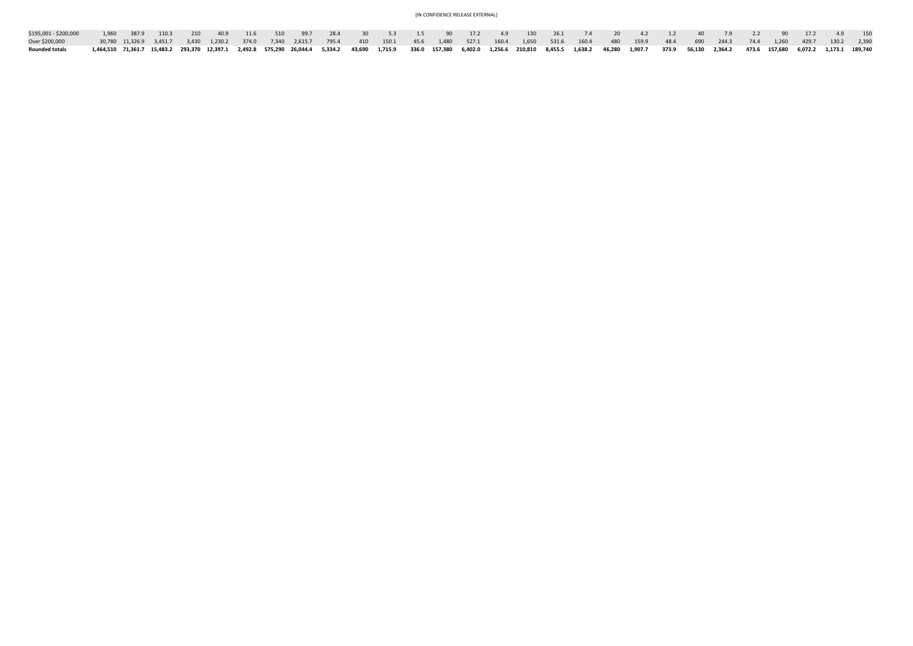| \$195,001 - \$200,000 | 1,960 387.9 110.3 210 40.9 11.6 510 99.7 28.4 30 5.3 1.5 90 17.2 4.9 130 26.1 7.4 20 4.2 1.2 40 7.9 2.2 90 17.2 4.9 150                                                                                                      |  |  |  |  |  |  |  |  |  |  |                                                                                                                                                                          |  |  |  |
|-----------------------|------------------------------------------------------------------------------------------------------------------------------------------------------------------------------------------------------------------------------|--|--|--|--|--|--|--|--|--|--|--------------------------------------------------------------------------------------------------------------------------------------------------------------------------|--|--|--|
| Over \$200,000        |                                                                                                                                                                                                                              |  |  |  |  |  |  |  |  |  |  | 30,780 11,326.9 3,451.7 3,430 1,230.2 374.0 7,340 2,615.7 795.4 410 150.1 45.6 1,480 527.1 160.4 1,650 531.6 160.4 480 159.9 48.4 690 244.3 74.4 1,260 429.7 130.2 2,390 |  |  |  |
| <b>Rounded totals</b> | 1,464,510 71,361.7 15,483.2 293,370 12,397.1 2,492.8 575,290 26,044.4 5,334.2 43,690 1,715.9 336.0 157,380 6,402.0 1,256.6 210,810 8,455.5 1,638.2 46,280 1,907.7 373.9 56,130 2,364.2 473.6 157,680 6,072.2 1,173.1 189,740 |  |  |  |  |  |  |  |  |  |  |                                                                                                                                                                          |  |  |  |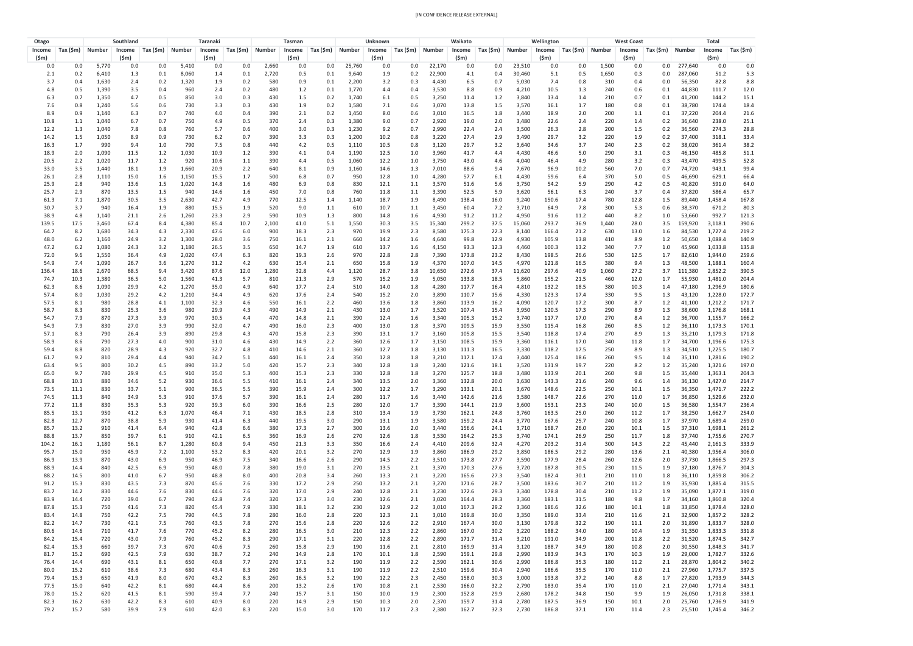| Otago        |              |                | Southland              |                       |                | <b>Taranaki</b> |                   |               | <b>Tasman</b>          |            |                | <b>Unknown</b> |            |                | Waikato                |                       |                | Wellington     |              |               | <b>West Coast</b> |            |                  | <b>Total</b>           |                |
|--------------|--------------|----------------|------------------------|-----------------------|----------------|-----------------|-------------------|---------------|------------------------|------------|----------------|----------------|------------|----------------|------------------------|-----------------------|----------------|----------------|--------------|---------------|-------------------|------------|------------------|------------------------|----------------|
| Income       | Tax (\$m)    | <b>Number</b>  | Income                 | $\mathsf{T}$ ax (\$m) | <b>Number</b>  | <b>Income</b>   | Tax (\$m)         | <b>Number</b> | Income                 | Tax (\$m)  | <b>Number</b>  | Income         | Tax (\$m)  | <b>Number</b>  | Income                 | $\mathsf{T}$ ax (\$m) | <b>Number</b>  | <b>Income</b>  | Tax $(\$m)$  | <b>Number</b> | Income            | Tax (\$m)  | <b>Number</b>    | Income                 | Tax (\$m)      |
| (\$m)<br>0.0 | 0.0          | 5,770          | $(\mathsf{5m})$<br>0.0 | 0.0                   | 5,410          | $(\$m)$<br>0.0  | 0.0               | 2,660         | $(\mathsf{5m})$<br>0.0 | 0.0        | 25,760         | $(\$m)$<br>0.0 | 0.0        | 22,170         | $(\mathsf{5m})$<br>0.0 | 0.0                   | 23,510         | $(\$m)$<br>0.0 | 0.0          | 1,500         | (\$m)<br>0.0      | 0.0        | 277,640          | $(\mathsf{5m})$<br>0.0 | 0.0            |
| 2.1          | 0.2          | 6,410          | 1.3                    | 0.1                   | 8,060          | 1.4             | 0.1               | 2,720         | 0.5                    | 0.1        | 9,640          | 1.9            | 0.2        | 22,900         | 4.1                    | 0.4                   | 30,460         | 5.1            | 0.5          | 1,650         | 0.3               | 0.0        | 287,060          | 51.2                   | 5.3            |
| 3.7          | 0.4          | 1,630          | 2.4                    | 0.2                   | 1,320          | 1.9             | 0.2               | 580           | 0.9                    | 0.1        | 2,200          | 3.2            | 0.3        | 4,430          | 6.5                    | 0.7                   | 5,030          | 7.4            | 0.8          | 310           | 0.4               | 0.0        | 56,350           | 82.8                   | 8.8            |
| 4.8          | 0.5          | 1,390          | 3.5                    | 0.4                   | 960            | 2.4             | 0.2               | 480           | 1.2                    | 0.1        | 1,770          | 4.4            | 0.4        | 3,530          | 8.8                    | 0.9                   | 4,210          | 10.5           | 1.3          | 240           | 0.6               | 0.1        | 44,830           | 111.7                  | 12.0           |
| 6.3          | 0.7          | 1,350          | 4.7                    | 0.5                   | 850            | 3.0             | 0.3               | 430           | 1.5                    | 0.2        | 1,740          | 6.1            | 0.5        | 3,250          | 11.4                   | 1.2                   | 3,840          | 13.4           | 1.4          | 210           | 0.7               | 0.1        | 41,200           | 144.2                  | 15.1           |
| 7.6<br>8.9   | 0.8<br>0.9   | 1,240<br>1,140 | 5.6<br>6.3             | 0.6<br>0.7            | 730<br>740     | 3.3<br>4.0      | 0.3<br>0.4        | 430<br>390    | 1.9<br>2.1             | 0.2<br>0.2 | 1,580<br>1,450 | 7.1<br>8.0     | 0.6<br>0.6 | 3,070<br>3,010 | 13.8<br>16.5           | 1.5<br>1.8            | 3,570<br>3,440 | 16.1<br>18.9   | 1.7<br>2.0   | 180<br>200    | 0.8<br>1.1        | 0.1<br>0.1 | 38,780<br>37,220 | 174.4<br>204.4         | 18.4<br>21.6   |
| 10.8         | 1.1          | 1,040          | 6.7                    | 0.7                   | 750            | 4.9             | 0.5               | 370           | 2.4                    | 0.3        | 1,380          | 9.0            | 0.7        | 2,920          | 19.0                   | 2.0                   | 3,480          | 22.6           | 2.4          | 220           | 1.4               | 0.2        | 36,640           | 238.0                  | 25.1           |
| 12.2         | 1.3          | 1,040          | 7.8                    | 0.8                   | 760            | 5.7             | 0.6               | 400           | 3.0                    | 0.3        | 1,230          | 9.2            | 0.7        | 2,990          | 22.4                   | 2.4                   | 3,500          | 26.3           | 2.8          | 200           | 1.5               | 0.2        | 36,560           | 274.3                  | 28.8           |
| 14.2         | $1.5\,$      | 1,050          | 8.9                    | 0.9                   | 730            | 6.2             | 0.7               | 390           | 3.3                    | 0.3        | 1,200          | 10.2           | 0.8        | 3,220          | 27.4                   | 2.9                   | 3,490          | 29.7           | 3.2          | 220           | 1.9               | 0.2        | 37,400           | 318.1                  | 33.4           |
| 16.3         | 1.7          | 990            | 9.4                    | 1.0                   | 790            | 7.5             | 0.8               | 440           | 4.2                    | 0.5        | 1,110          | 10.5           | 0.8        | 3,120          | 29.7                   | 3.2                   | 3,640<br>4,430 | 34.6           | 3.7          | 240           | 2.3               | 0.2        | 38,020           | 361.4                  | 38.2           |
| 18.9<br>20.5 | 2.0<br>2.2   | 1,090<br>1,020 | 11.5<br>11.7           | 1.2<br>1.2            | 1,030<br>920   | 10.9<br>10.6    | 1.2<br>1.1        | 390<br>390    | 4.1<br>4.4             | 0.4<br>0.5 | 1,190<br>1,060 | 12.5<br>12.2   | 1.0<br>1.0 | 3,960<br>3,750 | 41.7<br>43.0           | 4.4<br>4.6            | 4,040          | 46.6<br>46.4   | 5.0<br>4.9   | 290<br>280    | 3.1<br>3.2        | 0.3<br>0.3 | 46,150<br>43,470 | 485.8<br>499.5         | 51.1<br>52.8   |
| 33.0         | 3.5          | 1,440          | 18.1                   | 1.9                   | 1,660          | 20.9            | 2.2               | 640           | 8.1                    | 0.9        | 1,160          | 14.6           | 1.3        | 7,010          | 88.6                   | 9.4                   | 7,670          | 96.9           | 10.2         | 560           | 7.0               | 0.7        | 74,720           | 943.1                  | 99.4           |
| 26.1         | 2.8          | 1,110          | 15.0                   | 1.6                   | 1,150          | 15.5            | 1.7               | 500           | 6.8                    | 0.7        | 950            | 12.8           | 1.0        | 4,280          | 57.7                   | 6.1                   | 4,430          | 59.6           | 6.4          | 370           | 5.0               | 0.5        | 46,690           | 629.1                  | 66.4           |
| 25.9         | 2.8          | 940            | 13.6                   | 1.5                   | 1,020          | 14.8            | 1.6               | 480           | 6.9                    | 0.8        | 830            | 12.1           | 1.1        | 3,570          | 51.6                   | 5.6                   | 3,750          | 54.2           | 5.9          | 290           | 4.2               | 0.5        | 40,820           | 591.0                  | 64.0           |
| 25.7         | 2.9          | 870            | 13.5                   | 1.5                   | 940            | 14.6            | 1.6               | 450           | 7.0                    | 0.8        | 760            | 11.8           | 1.1        | 3,390          | 52.5                   | 5.9                   | 3,620          | 56.1           | 6.3          | 240           | 3.7               | 0.4        | 37,820           | 586.4                  | 65.7           |
| 61.3<br>30.7 | 7.1<br>3.7   | 1,870<br>940   | 30.5<br>16.4           | 3.5<br>1.9            | 2,630<br>880   | 42.7<br>15.5    | 4.9<br><u>1.9</u> | 770<br>520    | 12.5<br>9.0            | 1.4<br>1.1 | 1,140<br>610   | 18.7<br>10.7   | 1.9<br>1.1 | 8,490<br>3,450 | 138.4<br>60.4          | 16.0<br>7.2           | 9,240<br>3,710 | 150.6<br>64.9  | 17.4<br>7.8  | 780<br>300    | 12.8<br>5.3       | 1.5<br>0.6 | 89,440<br>38,370 | 1,458.4<br>671.2       | 167.8<br>80.3  |
| 38.9         | 4.8          | 1,140          | 21.1                   | 2.6                   | 1,260          | 23.3            | 2.9               | 590           | 10.9                   | 1.3        | 800            | 14.8           | 1.6        | 4,930          | 91.2                   | 11.2                  | 4,950          | 91.6           | 11.2         | 440           | 8.2               | 1.0        | 53,660           | 992.7                  | 121.3          |
| 139.5        | 17.5         | 3,460          | 67.4                   | 8.4                   | 4,380          | 85.4            | 10.7              | 2,100         | 41.0                   | 5.1        | 1,550          | 30.3           | 3.5        | 15,340         | 299.2                  | 37.5                  | 15,060         | 293.7          | 36.9         | 1,440         | 28.0              | 3.5        | 159,920          | 3,118.1                | 390.6          |
| 64.7         | 8.2          | 1,680          | 34.3                   | 4.3                   | 2,330          | 47.6            | 6.0               | 900           | 18.3                   | 2.3        | 970            | 19.9           | 2.3        | 8,580          | 175.3                  | 22.3                  | 8,140          | 166.4          | 21.2         | 630           | 13.0              | 1.6        | 84,530           | 1,727.4                | 219.2          |
| 48.0         | 6.2          | 1,160          | 24.9                   | 3.2                   | 1,300          | 28.0            | 3.6               | 750           | 16.1                   | 2.1        | 660            | 14.2           | 1.6        | 4,640          | 99.8                   | 12.9                  | 4,930          | 105.9          | 13.8         | 410           | 8.9               | 1.2        | 50,650           | 1,088.4                | 140.9          |
| 47.2<br>72.0 | 6.2<br>9.6   | 1,080<br>1,550 | 24.3<br>36.4           | 3.2<br>4.9            | 1,180<br>2,020 | 26.5<br>47.4    | 3.5<br>6.3        | 650<br>820    | 14.7<br>19.3           | 1.9<br>2.6 | 610<br>970     | 13.7<br>22.8   | 1.6<br>2.8 | 4,150<br>7,390 | 93.3<br>173.8          | 12.3<br>23.2          | 4,460<br>8,430 | 100.3<br>198.5 | 13.2<br>26.6 | 340<br>530    | 7.7<br>12.5       | 1.0<br>1.7 | 45,960<br>82,610 | 1,033.8<br>1,944.0     | 135.8<br>259.6 |
| 54.9         | 7.4          | 1,090          | 26.7                   | 3.6                   | 1,270          | 31.2            | 4.2               | 630           | 15.4                   | 2.1        | 650            | 15.8           | 1.9        | 4,370          | 107.0                  | 14.5                  | 4,970          | 121.8          | 16.5         | 380           | 9.4               | 1.3        | 48,500           | 1,188.1                | 160.4          |
| 136.4        | 18.6         | 2,670          | 68.5                   | 9.4                   | 3,420          | 87.6            | 12.0              | 1,280         | 32.8                   | 4.4        | 1,120          | 28.7           | 3.8        | 10,650         | 272.6                  | 37.4                  | 11,620         | 297.6          | 40.9         | 1,060         | 27.2              | 3.7        | 111,380          | 2,852.2                | 390.5          |
| 74.7         | 10.3         | 1,380          | 36.5                   | 5.0                   | 1,560          | 41.3            | 5.7               | 810           | 21.3                   | 2.9        | 570            | 15.2           | 1.9        | 5,050          | 133.8                  | 18.5                  | 5,860          | 155.2          | 21.5         | 460           | 12.0              | 1.7        | 55,930           | 1,481.0                | 204.4          |
| 62.3         | 8.6          | 1,090          | 29.9                   | 4.2                   | 1,270          | 35.0            | 4.9               | 640           | 17.7                   | 2.4        | 510            | 14.0           | 1.8        | 4,280          | 117.7                  | 16.4                  | 4,810          | 132.2          | 18.5         | 380           | 10.3              | 1.4        | 47,180           | 1,296.9                | 180.6          |
| 57.4<br>57.5 | 8.0<br>8.1   | 1,030<br>980   | 29.2<br>28.8           | 4.2<br>4.1            | 1,210<br>1,100 | 34.4<br>32.3    | 4.9<br>4.6        | 620<br>550    | 17.6<br>16.1           | 2.4<br>2.2 | 540<br>460     | 15.2<br>13.6   | 2.0<br>1.8 | 3,890<br>3,860 | 110.7<br>113.9         | 15.6<br>16.2          | 4,330<br>4,090 | 123.3<br>120.7 | 17.4<br>17.2 | 330<br>300    | 9.5<br>8.7        | 1.3<br>1.2 | 43,120<br>41,100 | 1,228.0<br>1,212.2     | 172.7<br>171.7 |
| 58.7         | 8.3          | 830            | 25.3                   | 3.6                   | 980            | 29.9            | 4.3               | 490           | 14.9                   | 2.1        | 430            | 13.0           | 1.7        | 3,520          | 107.4                  | 15.4                  | 3,950          | 120.5          | 17.3         | 290           | 8.9               | 1.3        | 38,600           | 1,176.8                | 168.1          |
| 54.7         | 7.9          | 870            | 27.3                   | 3.9                   | 970            | 30.5            | 4.4               | 470           | 14.8                   | 2.1        | 390            | 12.4           | 1.6        | 3,340          | 105.3                  | 15.2                  | 3,740          | 117.7          | 17.0         | 270           | 8.4               | 1.2        | 36,700           | 1,155.7                | 166.2          |
| 54.9         | 7.9          | 830            | 27.0                   | 3.9                   | 990            | 32.0            | 4.7               | 490           | 16.0                   | 2.3        | 400            | 13.0           | 1.8        | 3,370          | 109.5                  | 15.9                  | 3,550          | 115.4          | 16.8         | 260           | 8.5               | 1.2        | 36,110           | 1,173.3                | 170.1          |
| 57.1         | 8.3          | 790            | 26.4                   | 3.9                   | 890            | 29.8            | 4.3               | 470           | 15.8                   | 2.3        | 390            | 13.1           | 1.7        | 3,160          | 105.8                  | 15.5                  | 3,540          | 118.8          | 17.4         | 270           | 8.9               | 1.3        | 35,210           | 1,179.3                | 171.8          |
| 58.9<br>59.4 | 8.6<br>8.8   | 790<br>820     | 27.3<br>28.9           | 4.0<br>4.3            | 900<br>920     | 31.0<br>32.7    | 4.6<br>4.8        | 430<br>410    | 14.9<br>14.6           | 2.2<br>2.1 | 360<br>360     | 12.6<br>12.7   | 1.7<br>1.8 | 3,150<br>3,130 | 108.5<br>111.3         | 15.9<br>16.5          | 3,360<br>3,330 | 116.1<br>118.2 | 17.0<br>17.5 | 340<br>250    | 11.8<br>8.9       | 1.7<br>1.3 | 34,700<br>34,510 | 1,196.6<br>1,225.5     | 175.3<br>180.7 |
| 61.7         | 9.2          | 810            | 29.4                   | 4.4                   | 940            | 34.2            | 5.1               | 440           | 16.1                   | 2.4        | 350            | 12.8           | 1.8        | 3,210          | 117.1                  | 17.4                  | 3,440          | 125.4          | 18.6         | 260           | 9.5               | 1.4        | 35,110           | 1,281.6                | 190.2          |
| 63.4         | 9.5          | 800            | 30.2                   | 4.5                   | 890            | 33.2            | 5.0               | 420           | 15.7                   | 2.3        | 340            | 12.8           | 1.8        | 3,240          | 121.6                  | 18.1                  | 3,520          | 131.9          | 19.7         | 220           | 8.2               | 1.2        | 35,240           | 1,321.6                | 197.0          |
| 65.0         | 9.7          | 780            | 29.9                   | 4.5                   | 910            | 35.0            | 5.3               | 400           | 15.3                   | 2.3        | 330            | 12.8           | 1.8        | 3,270          | 125.7                  | 18.8                  | 3,480          | 133.9          | 20.1         | 260           | 9.8               | 1.5        | 35,440           | 1,363.1                | 204.3          |
| 68.8         | 10.3         | 880            | 34.6                   | 5.2                   | 930            | 36.6            | 5.5               | 410           | 16.1                   | 2.4        | 340            | 13.5           | 2.0        | 3,360          | 132.8                  | 20.0                  | 3,630          | 143.3          | 21.6         | 240           | 9.6               | 1.4        | 36,130           | 1,427.0                | 214.7          |
| 73.5<br>74.5 | 11.1<br>11.3 | 830<br>840     | 33.7<br>34.9           | 5.1<br>5.3            | 900<br>910     | 36.5<br>37.6    | 5.5<br>5.7        | 390<br>390    | 15.9<br>16.1           | 2.4<br>2.4 | 300<br>280     | 12.2<br>11.7   | 1.7<br>1.6 | 3,290<br>3,440 | 133.1<br>142.6         | 20.1<br>21.6          | 3,670<br>3,580 | 148.6<br>148.7 | 22.5<br>22.6 | 250<br>270    | 10.1<br>11.0      | 1.5<br>1.7 | 36,350<br>36,850 | 1,471.7<br>1,529.6     | 222.2<br>232.0 |
| 77.2         | 11.8         | 830            | 35.3                   | 5.3                   | 920            | 39.3            | 6.0               | 390           | 16.6                   | 2.5        | 280            | 12.0           | 1.7        | 3,390          | 144.1                  | 21.9                  | 3,600          | 153.1          | 23.3         | 240           | 10.0              | 1.5        | 36,580           | 1,554.7                | 236.4          |
| 85.5         | 13.1         | 950            | 41.2                   | 6.3                   | 1,070          | 46.4            | 7.1               | 430           | 18.5                   | 2.8        | 310            | 13.4           | 1.9        | 3,730          | 162.1                  | 24.8                  | 3,760          | 163.5          | 25.0         | 260           | 11.2              | 1.7        | 38,250           | 1,662.7                | 254.0          |
| 82.8         | 12.7         | 870            | 38.8                   | 5.9                   | 930            | 41.4            | 6.3               | 440           | 19.5                   | 3.0        | 290            | 13.1           | 1.9        | 3,580          | 159.2                  | 24.4                  | 3,770          | 167.6          | 25.7         | 240           | 10.8              | 1.7        | 37,970           | 1,689.4                | 259.0          |
| 85.7<br>88.8 | 13.2<br>13.7 | 910<br>850     | 41.4<br>39.7           | 6.4<br>6.1            | 940<br>910     | 42.8<br>42.1    | 6.6<br>6.5        | 380<br>360    | 17.3<br>16.9           | 2.7<br>2.6 | 300<br>270     | 13.6<br>12.6   | 2.0<br>1.8 | 3,440<br>3,530 | 156.6<br>164.2         | 24.1<br>25.3          | 3,710<br>3,740 | 168.7<br>174.1 | 26.0<br>26.9 | 220<br>250    | 10.1<br>11.7      | 1.5<br>1.8 | 37,310<br>37,740 | 1,698.1<br>1,755.6     | 261.2<br>270.7 |
| 104.2        | 16.1         | 1,180          | 56.1                   | 8.7                   | 1,280          | 60.8            | 9.4               | 450           | 21.3                   | 3.3        | 350            | 16.6           | 2.4        | 4,410          | 209.6                  | 32.4                  | 4,270          | 203.2          | 31.4         | 300           | 14.3              | 2.2        | 45,440           | 2,161.3                | 333.9          |
| 95.7         | 15.0         | 950            | 45.9                   | 7.2                   | 1,100          | 53.2            | 8.3               | 420           | 20.1                   | 3.2        | 270            | 12.9           | 1.9        | 3,860          | 186.9                  | 29.2                  | 3,850          | 186.5          | 29.2         | 280           | 13.6              | 2.1        | 40,380           | 1,956.4                | 306.0          |
| 86.9         | 13.9         | 870            | 43.0                   | 6.9                   | 950            | 46.9            | 7.5               | 340           | 16.6                   | 2.6        | 290            | 14.5           | 2.2        | 3,510          | 173.8                  | 27.7                  | 3,590          | 177.9          | 28.4         | 260           | 12.6              | 2.0        | 37,730           | 1,866.5                | 297.3          |
| 88.9         | 14.4         | 840            | 42.5                   | 6.9                   | 950            | 48.0            | 7.8               | 380           | 19.0                   | 3.1        | 270            | 13.5           | 2.1        | 3,370          | 170.3                  | 27.6                  | 3,720          | 187.8          | 30.5         | 230           | 11.5              | 1.9        | 37,180           | 1,876.7                | 304.3          |
| 88.2<br>91.2 | 14.5<br>15.3 | 800<br>830     | 41.0<br>43.5           | 6.7<br>7.3            | 950<br>870     | 48.8<br>45.6    | 8.0<br>7.6        | 400<br>330    | 20.8<br>17.2           | 3.4<br>2.9 | 260<br>250     | 13.3<br>13.2   | 2.1<br>2.1 | 3,220<br>3,270 | 165.6<br>171.6         | 27.3<br>28.7          | 3,540<br>3,500 | 182.4<br>183.6 | 30.1<br>30.7 | 210<br>210    | 11.0<br>11.2      | 1.8<br>1.9 | 36,110<br>35,930 | 1,859.8<br>1,885.4     | 306.2<br>315.5 |
| 83.7         | 14.2         | 830            | 44.6                   | 7.6                   | 830            | 44.6            | 7.6               | 320           | 17.0                   | 2.9        | 240            | 12.8           | 2.1        | 3,230          | 172.6                  | 29.3                  | 3,340          | 178.8          | 30.4         | 210           | 11.2              | 1.9        | 35,090           | 1,877.1                | 319.0          |
| 83.9         | 14.4         | 720            | 39.0                   | 6.7                   | 790            | 42.8            | 7.4               | 320           | 17.3                   | 3.0        | 230            | 12.6           | 2.1        | 3,020          | 164.4                  | 28.3                  | 3,360          | 183.1          | 31.5         | 180           | 9.8               | 1.7        | 34,160           | 1,860.8                | 320.4          |
| 87.8         | 15.3         | 750            | 41.6                   | 7.3                   | 820            | 45.4            | 7.9               | 330           | 18.1                   | 3.2        | 230            | 12.9           | 2.2        | 3,010          | 167.3                  | 29.2                  | 3,360          | 186.6          | 32.6         | 180           | 10.1              | 1.8        | 33,850           | 1,878.4                | 328.0          |
| 83.4         | 14.8         | 750            | 42.2                   | 7.5                   | 790            | 44.5            | 7.8               | 280           | 16.0                   | 2.8        | 220            | 12.3           | 2.1        | 3,010          | 169.8                  | 30.0                  | 3,350          | 189.0          | 33.4         | 210           | 11.6              | 2.1        | 32,900           | 1,857.2                | 328.2          |
| 82.2<br>80.6 | 14.7<br>14.6 | 730<br>710     | 42.1<br>41.7           | 7.5<br>7.6            | 760<br>770     | 43.5<br>45.2    | 7.8<br>8.2        | 270<br>280    | 15.6<br>16.5           | 2.8<br>3.0 | 220<br>210     | 12.6<br>12.3   | 2.2<br>2.2 | 2,910<br>2,860 | 167.4<br>167.0         | 30.0<br>30.2          | 3,130<br>3,220 | 179.8<br>188.2 | 32.2<br>34.0 | 190<br>180    | 11.1<br>10.4      | 2.0<br>1.9 | 31,890<br>31,350 | 1,833.7<br>1,833.3     | 328.0<br>331.8 |
| 84.2         | 15.4         | 720            | 43.0                   | 7.9                   | 760            | 45.2            | 8.3               | 290           | 17.1                   | 3.1        | 220            | 12.8           | 2.2        | 2,890          | 171.7                  | 31.4                  | 3,210          | 191.0          | 34.9         | 200           | 11.8              | 2.2        | 31,520           | 1,874.5                | 342.7          |
| 82.4         | 15.3         | 660            | 39.7                   | 7.3                   | 670            | 40.6            | 7.5               | 260           | 15.8                   | 2.9        | 190            | 11.6           | 2.1        | 2,810          | 169.9                  | 31.4                  | 3,120          | 188.7          | 34.9         | 180           | 10.8              | 2.0        | 30,550           | 1,848.3                | 341.7          |
| 81.7         | 15.2         | 690            | 42.5                   | 7.9                   | 630            | 38.7            | 7.2               | 240           | 14.9                   | 2.8        | 170            | 10.1           | 1.8        | 2,590          | 159.1                  | 29.8                  | 2,990          | 183.9          | 34.3         | 170           | 10.3              | 1.9        | 29,000           | 1,782.7                | 332.6          |
| 76.4         | 14.4         | 690            | 43.1                   | 8.1                   | 650            | 40.8            | 7.7               | 270           | 17.1                   | 3.2        | 190            | 11.9           | 2.2        | 2,590          | 162.1                  | 30.6                  | 2,990          | 186.8          | 35.3         | 180           | 11.2              | 2.1        | 28,870           | 1,804.2                | 340.2          |
| 80.0<br>79.4 | 15.2<br>15.3 | 610<br>650     | 38.6<br>41.9           | 7.3<br>8.0            | 680<br>670     | 43.4<br>43.2    | 8.3<br>8.3        | 260<br>260    | 16.3<br>16.5           | 3.1<br>3.2 | 190<br>190     | 11.9<br>12.2   | 2.2<br>2.3 | 2,510<br>2,450 | 159.6<br>158.0         | 30.4<br>30.3          | 2,940<br>3,000 | 186.6<br>193.8 | 35.5<br>37.2 | 170<br>140    | 11.0<br>8.8       | 2.1<br>1.7 | 27,960<br>27,820 | 1,775.7<br>1,793.9     | 337.5<br>344.3 |
| 77.5         | 15.0         | 640            | 42.2                   | 8.1                   | 680            | 44.4            | 8.6               | 200           | 13.2                   | 2.6        | 170            | 10.8           | 2.1        | 2,530          | 166.0                  | 32.2                  | 2,790          | 183.0          | 35.4         | 170           | 11.0              | 2.1        | 27,040           | 1,771.4                | 343.1          |
| 78.0         | 15.2         | 620            | 41.5                   | 8.1                   | 590            | 39.4            | 7.7               | 240           | 15.7                   | 3.1        | 150            | 10.0           | 1.9        | 2,300          | 152.8                  | 29.9                  | 2,680          | 178.2          | 34.8         | 150           | 9.9               | 1.9        | 26,050           | 1,731.8                | 338.1          |
| 82.3         | 16.2         | 630            | 42.2                   | 8.3                   | 610            | 40.9            | 8.0               | 220           | 14.9                   | 2.9        | 150            | 10.3           | 2.0        | 2,370          | 159.7                  | 31.4                  | 2,780          | 187.5          | 36.9         | 150           | 10.1              | 2.0        | 25,760           | 1,736.9                | 341.9          |
| 79.2         | 15.7         | 580            | 39.9                   | 7.9                   | 610            | 42.0            | 8.3               | 220           | 15.0                   | 3.0        | 170            | 11.7           | 2.3        | 2,380          | 162.7                  | 32.3                  | 2,730          | 186.8          | 37.1         | 170           | 11.4              | 2.3        | 25,510           | 1,745.4                | 346.2          |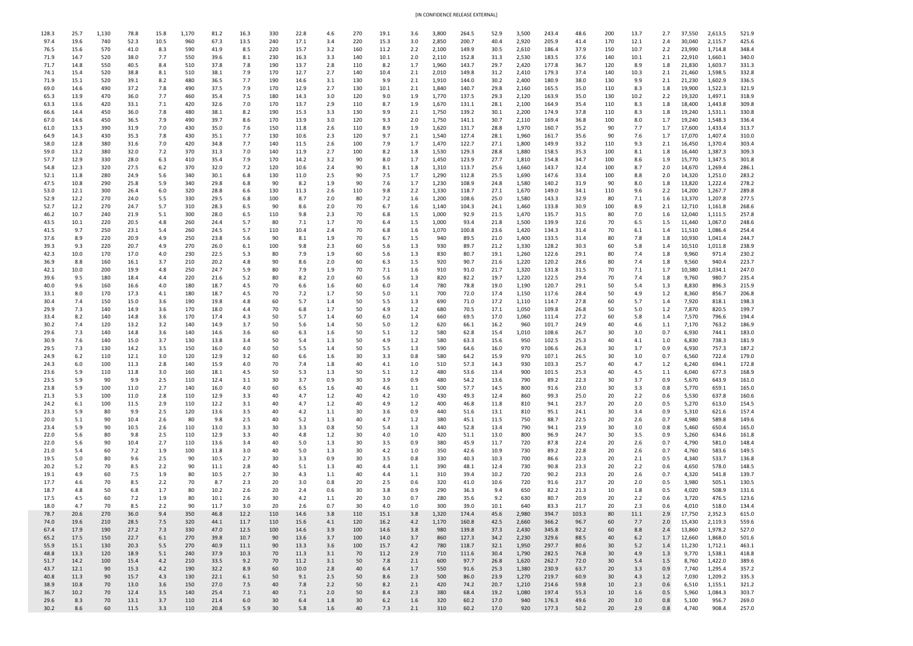| [IN CONFIDENCE RELEASE EXTERNAL] |
|----------------------------------|
|                                  |

| 128.3        | 25.7         | 1,130       | 78.8         | 15.8       | 1,170      | 81.2         | 16.3         | 330        | 22.8         | 4.6        | 270             | 19.1         | 3.6        | 3,800          | 264.5          | 52.9         | 3,500          | 243.4          | 48.6         | 200                   | 13.7         | 2.7        | 37,550           | 2,613.5            | 521.9          |
|--------------|--------------|-------------|--------------|------------|------------|--------------|--------------|------------|--------------|------------|-----------------|--------------|------------|----------------|----------------|--------------|----------------|----------------|--------------|-----------------------|--------------|------------|------------------|--------------------|----------------|
| 97.4         | 19.6         | 740         | 52.3         | 10.5       | 960        | 67.3         | 13.5         | 240        | 17.1         | 3.4        | 220             | 15.3         | 3.0        | 2,850          | 200.7          | 40.4         | 2,920          | 205.9          | 41.4         | 170                   | 12.1         | 2.4        | 30,040           | 2,115.7            | 425.6          |
| 76.5         | 15.6         | 570         | 41.0         | 8.3        | 590        | 41.9         | 8.5          | 220        | 15.7<br>16.3 | 3.2        | 160             | 11.2         | 2.2        | 2,100          | 149.9          | 30.5         | 2,610          | 186.4          | 37.9<br>37.6 | 150                   | 10.7         | 2.2        | 23,990           | 1,714.8            | 348.4<br>340.0 |
| 71.9<br>71.7 | 14.7<br>14.8 | 520<br>550  | 38.0<br>40.5 | 7.7<br>8.4 | 550<br>510 | 39.6<br>37.8 | 8.1<br>7.8   | 230<br>190 | 13.7         | 3.3<br>2.8 | 140<br>110      | 10.1<br>8.2  | 2.0<br>1.7 | 2,110<br>1,960 | 152.8<br>143.7 | 31.3<br>29.7 | 2,530<br>2,420 | 183.5<br>177.8 | 36.7         | 140<br>120            | 10.1<br>8.9  | 2.1<br>1.8 | 22,910<br>21,830 | 1,660.1<br>1,603.7 | 331.3          |
| 74.1         | 15.4         | 520         | 38.8         | 8.1        | 510        | 38.1         | 7.9          | 170        | 12.7         | 2.7        | 140             | 10.4         | 2.1        | 2,010          | 149.8          | 31.2         | 2,410          | 179.3          | 37.4         | 140                   | 10.3         | 2.1        | 21,460           | 1,598.5            | 332.8          |
| 71.9         | 15.1         | 520         | 39.1         | 8.2        | 480        | 36.5         | 7.7          | 190        | 14.6         | 3.1        | 130             | 9.9          | 2.1        | 1,910          | 144.0          | 30.2         | 2,400          | 180.9          | 38.0         | 130                   | 9.9          | 2.1        | 21,230           | 1,602.9            | 336.5          |
| 69.0         | 14.6         | 490         | 37.2         | 7.8        | 490        | 37.5         | 7.9          | 170        | 12.9         | 2.7        | 130             | 10.1         | 2.1        | 1,840          | 140.7          | 29.8         | 2,160          | 165.5          | 35.0         | 110                   | 8.3          | 1.8        | 19,900           | 1,522.3            | 321.9          |
| 65.3         | 13.9         | 470         | 36.0         | 7.7        | 460        | 35.4         | 7.5          | 180        | 14.3         | 3.0        | 120             | 9.0          | 1.9        | 1,770          | 137.5          | 29.3         | 2,120          | 163.9          | 35.0         | 130                   | 10.2         | 2.2        | 19,320           | 1,497.1            | 318.9          |
| 63.3<br>66.6 | 13.6<br>14.4 | 420<br>450  | 33.1<br>36.0 | 7.1<br>7.8 | 420<br>480 | 32.6<br>38.1 | 7.0<br>8.2   | 170<br>190 | 13.7<br>15.3 | 2.9<br>3.3 | 110<br>130      | 8.7<br>9.9   | 1.9<br>2.1 | 1,670<br>1,750 | 131.1<br>139.2 | 28.1<br>30.1 | 2,100<br>2,200 | 164.9<br>174.9 | 35.4<br>37.8 | 110<br>110            | 8.3<br>8.3   | 1.8<br>1.8 | 18,400<br>19,240 | 1,443.8<br>1,531.1 | 309.8<br>330.8 |
| 67.0         | 14.6         | 450         | 36.5         | 7.9        | 490        | 39.7         | 8.6          | 170        | 13.9         | 3.0        | 120             | 9.3          | 2.0        | 1,750          | 141.1          | 30.7         | 2,110          | 169.4          | 36.8         | 100                   | 8.0          | 1.7        | 19,240           | 1,548.3            | 336.4          |
| 61.0         | 13.3         | 390         | 31.9         | 7.0        | 430        | 35.0         | 7.6          | 150        | 11.8         | 2.6        | 110             | 8.9          | 1.9        | 1,620          | 131.7          | 28.8         | 1,970          | 160.7          | 35.2         | 90                    | 7.7          | 1.7        | 17,600           | 1,433.4            | 313.7          |
| 64.9         | 14.3         | 430         | 35.3         | 7.8        | 430        | 35.1         | 7.7          | 130        | 10.6         | 2.3        | 120             | 9.7          | 2.1        | 1,540          | 127.4          | 28.1         | 1,960          | 161.7          | 35.6         | 90                    | 7.6          | 1.7        | 17,070           | 1,407.4            | 310.0          |
| 58.0         | 12.8         | 380         | 31.6         | 7.0        | 420        | 34.8         | 7.7          | 140        | 11.5         | 2.6        | 100             | 7.9          | 1.7        | 1,470          | 122.7          | 27.1         | 1,800          | 149.9          | 33.2         | 110                   | 9.3          | 2.1        | 16,450           | 1,370.4            | 303.4          |
| 59.0<br>57.7 | 13.2<br>12.9 | 380<br>-330 | 32.0<br>28.0 | 7.2<br>6.3 | 370<br>410 | 31.3<br>35.4 | 7.0<br>7.9   | 140<br>170 | 11.9<br>14.2 | 2.7<br>3.2 | 100<br>90       | 8.2<br>8.0   | 1.8<br>1.7 | 1,530<br>1,450 | 129.3<br>123.9 | 28.8<br>27.7 | 1,880<br>1,810 | 158.5<br>154.8 | 35.3<br>34.7 | 100<br>100            | 8.1<br>8.6   | 1.8<br>1.9 | 16,440<br>15,770 | 1,387.3<br>1,347.5 | 309.3<br>301.8 |
| 54.8         | 12.3         | 320         | 27.5         | 6.2        | 370        | 32.0         | 7.2          | 120        | 10.6         | 2.4        | 90              | 8.1          | 1.8        | 1,310          | 113.7          | 25.6         | 1,660          | 143.7          | 32.4         | 100                   | 8.7          | 2.0        | 14,670           | 1,269.4            | 286.1          |
| 52.1         | 11.8         | 280         | 24.9         | 5.6        | 340        | 30.1         | 6.8          | 130        | 11.0         | 2.5        | 90              | 7.5          | 1.7        | 1,290          | 112.8          | 25.5         | 1,690          | 147.6          | 33.4         | 100                   | 8.8          | 2.0        | 14,320           | 1,251.0            | 283.2          |
| 47.5         | 10.8         | 290         | 25.8         | 5.9        | 340        | 29.8         | 6.8          | 90         | 8.2          | 1.9        | 90              | 7.6          | 1.7        | 1,230          | 108.9          | 24.8         | 1,580          | 140.2          | 31.9         | 90                    | 8.0          | 1.8        | 13,820           | 1,222.4            | 278.2          |
| 53.0         | 12.1         | 300         | 26.4         | 6.0        | 320        | 28.8         | 6.6          | 130        | 11.3         | 2.6        | 110             | 9.8          | 2.2        | 1,330          | 118.7          | 27.1         | 1,670          | 149.0          | 34.1         | 110                   | 9.6          | 2.2        | 14,200           | 1,267.7            | 289.8          |
| 52.9<br>52.7 | 12.2<br>12.2 | 270<br>270  | 24.0<br>24.7 | 5.5<br>5.7 | 330<br>310 | 29.5<br>28.3 | 6.8<br>6.5   | 100<br>90  | 8.7<br>8.6   | 2.0<br>2.0 | 80<br>70        | 7.2<br>6.7   | 1.6<br>1.6 | 1,200<br>1,140 | 108.6<br>104.3 | 25.0<br>24.1 | 1,580<br>1,460 | 143.3<br>133.8 | 32.9<br>30.9 | 80<br>100             | 7.1<br>8.9   | 1.6<br>2.1 | 13,370<br>12,710 | 1,207.8<br>1,161.8 | 277.5<br>268.6 |
| 46.2         | 10.7         | 240         | 21.9         | 5.1        | 300        | 28.0         | 6.5          | 110        | 9.8          | 2.3        | 70              | 6.8          | $1.5\,$    | 1,000          | 92.9           | 21.5         | 1,470          | 135.7          | 31.5         | 80                    | 7.0          | 1.6        | 12,040           | 1,111.5            | 257.8          |
| 43.5         | 10.1         | 220         | 20.5         | 4.8        | 260        | 24.4         | 5.7          | 80         | 7.1          | 1.7        | 70              | 6.4          | $1.5\,$    | 1,000          | 93.4           | 21.8         | 1,500          | 139.9          | 32.6         | 70                    | 6.5          | 1.5        | 11,440           | 1,067.0            | 248.6          |
| 41.5         | 9.7          | 250         | 23.1         | 5.4        | 260        | 24.5         | 5.7          | 110        | 10.4         | 2.4        | 70              | 6.8          | 1.6        | 1,070          | 100.8          | 23.6         | 1,420          | 134.3          | 31.4         | 70                    | 6.1          | 1.4        | 11,510           | 1,086.4            | 254.4          |
| 37.6         | 8.9          | 220         | 20.9         | 4.9        | 250        | 23.8         | 5.6          | 90         | 8.1          | 1.9        | 70              | 6.7          | 1.5        | 940            | 89.5           | 21.0         | 1,400          | 133.5          | 31.4         | 80                    | 7.8          | 1.8        | 10,930           | 1,041.4            | 244.7          |
| 39.3<br>42.3 | 9.3<br>10.0  | 220<br>170  | 20.7<br>17.0 | 4.9<br>4.0 | 270<br>230 | 26.0<br>22.5 | 6.1<br>5.3   | 100<br>80  | 9.8<br>7.9   | 2.3<br>1.9 | 60<br>60        | 5.6<br>5.6   | 1.3<br>1.3 | 930<br>830     | 89.7<br>80.7   | 21.2<br>19.1 | 1,330<br>1,260 | 128.2<br>122.6 | 30.3<br>29.1 | 60<br>80              | 5.8<br>7.4   | 1.4<br>1.8 | 10,510<br>9,960  | 1,011.8<br>971.4   | 238.9<br>230.2 |
| 36.9         | 8.8          | 160         | 16.1         | 3.7        | 210        | 20.2         | 4.8          | 90         | 8.6          | 2.0        | 60              | 6.3          | 1.5        | 920            | 90.7           | 21.6         | 1,220          | 120.2          | 28.6         | 80                    | 7.4          | 1.8        | 9,560            | 940.4              | 223.7          |
| 42.1         | 10.0         | 200         | 19.9         | 4.8        | 250        | 24.7         | 5.9          | 80         | 7.9          | 1.9        | 70              | 7.1          | 1.6        | 910            | 91.0           | 21.7         | 1,320          | 131.8          | 31.5         | 70                    | 7.1          | 1.7        | 10,380           | 1,034.1            | 247.0          |
| 39.6         | 9.5          | 180         | 18.4         | 4.4        | 220        | 21.6         | 5.2          | 80         | 8.2          | 2.0        | 60              | 5.6          | 1.3        | 820            | 82.2           | 19.7         | 1,220          | 122.5          | 29.4         | 70                    | 7.4          | 1.8        | 9,760            | 980.7              | 235.4          |
| 40.0         | 9.6          | 160         | 16.6         | 4.0        | 180        | 18.7         | 4.5          | 70         | 6.6          | 1.6        | 60              | 6.0          | 1.4        | 780            | 78.8           | 19.0         | 1,190          | 120.7          | 29.1         | 50                    | 5.4          | 1.3        | 8,830            | 896.3              | 215.9          |
| 33.1<br>30.4 | 8.0<br>7.4   | 170<br>150  | 17.3<br>15.0 | 4.1<br>3.6 | 180<br>190 | 18.7<br>19.8 | 4.5<br>4.8   | 70<br>60   | 7.2<br>5.7   | 1.7<br>1.4 | 50<br>50        | 5.0<br>5.5   | 1.1<br>1.3 | 700<br>690     | 72.0<br>71.0   | 17.4<br>17.2 | 1,150<br>1,110 | 117.6<br>114.7 | 28.4<br>27.8 | 50<br>60              | 4.9<br>5.7   | 1.2<br>1.4 | 8,360<br>7,920   | 856.7<br>818.1     | 206.8<br>198.3 |
| 29.9         | 7.3          | 140         | 14.9         | 3.6        | 170        | 18.0         | 4.4          | 70         | 6.8          | 1.7        | 50              | 4.9          | 1.2        | 680            | 70.5           | 17.1         | 1,050          | 109.8          | 26.8         | 50                    | 5.0          | 1.2        | 7,870            | 820.5              | 199.7          |
| 33.4         | 8.2          | 140         | 14.8         | 3.6        | 170        | 17.4         | 4.3          | 50         | 5.7          | 1.4        | 60              | 6.0          | 1.4        | 660            | 69.5           | 17.0         | 1,060          | 111.4          | 27.2         | 60                    | 5.8          | 1.4        | 7,570            | 796.6              | 194.4          |
| 30.2         | 7.4          | 120         | 13.2         | 3.2        | 140        | 14.9         | 3.7          | 50         | 5.6          | 1.4        | 50              | 5.0          | 1.2        | 620            | 66.1           | 16.2         | 960            | 101.7          | 24.9         | 40                    | 4.6          | 1.1        | 7,170            | 763.2              | 186.9          |
| 29.6         | 7.3          | 140         | 14.8         | 3.6        | 140        | 14.6         | 3.6          | 60         | 6.3          | 1.6        | 50              | 5.1          | 1.2        | 580            | 62.8           | 15.4         | 1,010          | 108.6          | 26.7         | 30                    | 3.0          | 0.7        | 6,930            | 744.1              | 183.0          |
| 30.9<br>29.5 | 7.6<br>7.3   | 140<br>130  | 15.0<br>14.2 | 3.7<br>3.5 | 130<br>150 | 13.8<br>16.0 | 3.4<br>4.0   | 50<br>50   | 5.4<br>5.5   | 1.3<br>1.4 | 50<br>50        | 4.9<br>5.5   | 1.2<br>1.3 | 580<br>590     | 63.3<br>64.6   | 15.6<br>16.0 | 950<br>970     | 102.5<br>106.6 | 25.3<br>26.3 | 40<br>30              | 4.1<br>3.7   | 1.0<br>0.9 | 6,830<br>6,930   | 738.3<br>757.3     | 181.9<br>187.2 |
| 24.9         | 6.2          | 110         | 12.1         | 3.0        | 120        | 12.9         | 3.2          | 60         | 6.6          | 1.6        | 30              | 3.3          | 0.8        | 580            | 64.2           | 15.9         | 970            | 107.1          | 26.5         | 30                    | 3.0          | 0.7        | 6,560            | 722.4              | 179.0          |
| 24.3         | 6.0          | 100         | 11.3         | 2.8        | 140        | 15.9         | 4.0          | 70         | 7.4          | 1.8        | 40              | 4.1          | 1.0        | 510            | 57.3           | 14.3         | 930            | 103.3          | 25.7         | 40                    | 4.7          | 1.2        | 6,240            | 694.1              | 172.8          |
| 23.6         | 5.9          | 110         | 11.8         | 3.0        | 160        | 18.1         | 4.5          | 50         | 5.3          | 1.3        | 50              | 5.1          | 1.2        | 480            | 53.6           | 13.4         | 900            | 101.5          | 25.3         | 40                    | 4.5          | 1.1        | 6,040            | 677.3              | 168.9          |
| 23.5         | 5.9          | 90          | 9.9          | 2.5        | 110        | 12.4         | 3.1          | 30         | 3.7          | 0.9        | 30              | 3.9          | 0.9        | 480            | 54.2           | 13.6         | 790            | 89.2           | 22.3         | 30                    | 3.7          | 0.9        | 5,670            | 643.9              | 161.0          |
| 23.8<br>21.3 | 5.9<br>5.3   | 100<br>100  | 11.0<br>11.0 | 2.7<br>2.8 | 140<br>110 | 16.0<br>12.9 | 4.0<br>3.3   | 60<br>40   | 6.5<br>4.7   | 1.6<br>1.2 | 40<br>40        | 4.6<br>4.2   | 1.1<br>1.0 | 500<br>430     | 57.7<br>49.3   | 14.5<br>12.4 | 800<br>860     | 91.6<br>99.3   | 23.0<br>25.0 | 30<br>20              | 3.3<br>2.2   | 0.8<br>0.6 | 5,770<br>5,530   | 659.1<br>637.8     | 165.0<br>160.6 |
| 24.2         | 6.1          | 100         | 11.5         | 2.9        | 110        | 12.2         | 3.1          | 40         | 4.7          | 1.2        | 40              | 4.9          | 1.2        | 400            | 46.8           | 11.8         | 810            | 94.1           | 23.7         | 20                    | 2.0          | 0.5        | 5,270            | 613.0              | 154.5          |
| 23.3         | 5.9          | 80          | 9.9          | 2.5        | 120        | 13.6         | 3.5          | 40         | 4.2          | 1.1        | 30              | 3.6          | 0.9        | 440            | 51.6           | 13.1         | 810            | 95.1           | 24.1         | 30                    | 3.4          | 0.9        | 5,310            | 621.6              | 157.4          |
| 20.0         | 5.1          | 90          | 10.4         | 2.6        | 80         | 9.8          | 2.5          | 40         | 5.2          | 1.3        | 40              | 4.7          | 1.2        | 380            | 45.1           | 11.5         | 750            | 88.7           | 22.5         | 20                    | 2.6          | 0.7        | 4,980            | 589.8              | 149.6          |
| 23.4         | 5.9          | 90          | 10.5         | 2.6        | 110        | 13.0         | 3.3          | 30         | 3.3          | 0.8        | 50              | 5.4          | 1.3        | 440            | 52.8           | 13.4         | 790            | 94.1           | 23.9         | 30                    | 3.0          | 0.8        | 5,460            | 650.4              | 165.0          |
| 22.0<br>22.0 | 5.6<br>5.6   | 80<br>90    | 9.8<br>10.4  | 2.5<br>2.7 | 110<br>110 | 12.9<br>13.6 | 3.3<br>3.4   | 40<br>40   | 4.8<br>5.0   | 1.2<br>1.3 | 30<br>30        | 4.0<br>3.5   | 1.0<br>0.9 | 420<br>380     | 51.1<br>45.9   | 13.0<br>11.7 | 800<br>720     | 96.9<br>87.8   | 24.7<br>22.4 | 30<br>20              | 3.5<br>2.6   | 0.9<br>0.7 | 5,260<br>4,790   | 634.6<br>581.0     | 161.8<br>148.4 |
| 21.0         | 5.4          | 60          | 7.2          | 1.9        | 100        | 11.8         | 3.0          | 40         | 5.0          | 1.3        | 30              | 4.2          | $1.0\,$    | 350            | 42.6           | 10.9         | 730            | 89.2           | 22.8         | 20                    | 2.6          | 0.7        | 4,760            | 583.6              | 149.5          |
| 19.5         | 5.0          | 80          | 9.6          | 2.5        | 90         | 10.5         | 2.7          | 30         | 3.3          | 0.9        | 30              | 3.5          | 0.8        | 330            | 40.3           | 10.3         | 700            | 86.6           | 22.3         | 20                    | 2.1          | 0.5        | 4,340            | 533.7              | 136.8          |
| 20.2         | 5.2          | 70          | 8.5          | 2.2        | 90         | 11.1         | 2.8          | 40         | 5.1          | 1.3        | 40              | 4.4          | 1.1        | 390            | 48.1           | 12.4         | 730            | 90.8           | 23.3         | 20                    | 2.2          | 0.6        | 4,650            | 578.0              | 148.5          |
| 19.1         | 4.9          | 60          | 7.5          | 1.9        | 80         | 10.5         | 2.7          | 30         | 4.3          | 1.1        | 40              | 4.4          | 1.1        | 310            | 39.4           | 10.2         | 720            | 90.2           | 23.3         | 20                    | 2.6          | 0.7        | 4,320            | 541.8              | 139.7          |
| 17.7<br>18.7 | 4.6<br>4.8   | 70<br>50    | 8.5<br>6.8   | 2.2<br>1.7 | 70<br>80   | 8.7<br>10.2  | 2.3<br>2.6   | 20<br>20   | 3.0<br>2.4   | 0.8<br>0.6 | 20<br>30        | 2.5<br>3.8   | 0.6<br>0.9 | 320<br>290     | 41.0<br>36.3   | 10.6<br>9.4  | 720<br>650     | 91.6<br>82.2   | 23.7<br>21.3 | 20<br>10              | 2.0<br>1.8   | 0.5<br>0.5 | 3,980<br>4,020   | 505.1<br>508.9     | 130.5<br>131.6 |
| 17.5         | 4.5          | 60          | 7.2          | 1.9        | 80         | 10.1         | 2.6          | 30         | 4.2          | 1.1        | 20              | 3.0          | 0.7        | 280            | 35.6           | 9.2          | 630            | 80.7           | 20.9         | 20                    | 2.2          | 0.6        | 3,720            | 476.5              | 123.6          |
| 18.0         | 4.7          | 70          | 8.5          | 2.2        | 90         | 11.7         | 3.0          | 20         | 2.6          | 0.7        | 30              | 4.0          | 1.0        | 300            | 39.0           | 10.1         | 640            | 83.3           | 21.7         | 20                    | 2.3          | 0.6        | 4,010            | 518.0              | 134.4          |
| 78.7         | 20.6         | 270         | 36.0         | 9.4        | 350        | 46.8         | 12.2         | 110        | 14.6         | 3.8        | 110             | 15.1         | 3.8        | 1,320          | 174.4          | 45.6         | 2,980          | 394.7          | 103.3        | 80                    | 11.1         | 2.9        | 17,750           | 2,352.3            | 615.0          |
| 74.0         | 19.6         | 210         | 28.5         | 7.5        | 320        | 44.1         | 11.7         | 110        | 15.6         | 4.1        | 120             | 16.2         | 4.2        | 1,170          | 160.8          | 42.5         | 2,660          | 366.2          | 96.7         | 60                    | 7.7          | 2.0        | 15,430           | 2,119.3            | 559.6          |
| 67.4<br>65.2 | 17.9<br>17.5 | 190<br>150  | 27.2<br>22.7 | 7.3<br>6.1 | 330<br>270 | 47.0<br>39.8 | 12.5<br>10.7 | 100<br>90  | 14.6<br>13.6 | 3.9<br>3.7 | 100<br>100      | 14.6<br>14.0 | 3.8<br>3.7 | 980<br>860     | 139.8<br>127.3 | 37.3<br>34.2 | 2,430<br>2,230 | 345.8<br>329.6 | 92.2<br>88.5 | 60<br>40              | 8.8<br>$6.2$ | 2.4<br>1.7 | 13,860<br>12,660 | 1,978.2<br>1,868.0 | 527.0<br>501.6 |
| 55.9         | 15.1         | 130         | 20.3         | 5.5        | 270        | 40.9         | 11.1         | 90         | 13.3         | 3.6        | 100             | 15.7         | 4.2        | 780            | 118.7          | 32.1         | 1,950          | 297.7          | 80.6         | 30                    | 5.2          | 1.4        | 11,230           | 1,712.1            | 463.1          |
| 48.8         | 13.3         | 120         | 18.9         | 5.1        | 240        | 37.9         | 10.3         | 70         | 11.3         | 3.1        | 70              | 11.2         | 2.9        | 710            | 111.6          | 30.4         | 1,790          | 282.5          | 76.8         | 30 <sub>o</sub>       | 4.9          | 1.3        | 9,770            | 1,538.1            | 418.8          |
| 51.7         | 14.2         | 100         | 15.4         | 4.2        | 210        | 33.5         | 9.2          | 70         | 11.2         | 3.1        | 50              | 7.8          | 2.1        | 600            | 97.7           | 26.8         | 1,620          | 262.7          | 72.0         | 30 <sub>o</sub>       | 5.4          | 1.5        | 8,760            | 1,422.0            | 389.6          |
| 43.7         | 12.1         | 90          | 15.3         | 4.2        | 190        | 32.2         | 8.9          | 60         | 10.0         | 2.8        | 40              | 6.4          | 1.7        | 550            | 91.6           | 25.3         | 1,380          | 230.9          | 63.7         | 20 <sub>2</sub>       | 3.3          | 0.9        | 7,740            | 1,295.4            | 357.2          |
| 40.8<br>38.9 | 11.3<br>10.8 | 90<br>70    | 15.7<br>13.0 | 4.3<br>3.6 | 130<br>150 | 22.1<br>27.0 | 6.1<br>7.5   | 50<br>40   | 9.1<br>7.8   | 2.5<br>2.2 | 50<br>50        | 8.6<br>8.2   | 2.3<br>2.1 | 500<br>420     | 86.0<br>74.2   | 23.9<br>20.7 | 1,270<br>1,210 | 219.7<br>214.6 | 60.9<br>59.8 | 30 <sub>o</sub><br>10 | 4.3<br>2.3   | 1.2<br>0.6 | 7,030<br>6,510   | 1,209.2<br>1,155.1 | 335.3<br>321.2 |
| 36.7         | 10.2         | 70          | 12.4         | 3.5        | 140        | 25.4         | 7.1          | 40         | 7.1          | 2.0        | 50              | 8.4          | 2.3        | 380            | 68.4           | 19.2         | 1,080          | 197.4          | 55.3         | 10 <sub>1</sub>       | 1.6          | 0.5        | 5,960            | 1,084.3            | 303.7          |
| 29.6         | 8.3          | 70          | 13.1         | 3.7        | 110        | 21.4         | 6.0          | 30         | 6.4          | 1.8        | 30 <sup>°</sup> | 6.2          | 1.6        | 320            | 60.2           | 17.0         | 940            | 176.3          | 49.6         | 20                    | 3.0          | 0.8        | 5,100            | 956.7              | 269.0          |
| 30.2         | 8.6          | 60          | 11.5         | 3.3        | 110        | 20.8         | 5.9          | 30         | 5.8          | 1.6        | 40              | 7.3          | 2.1        | 310            | 60.2           | 17.0         | 920            | 177.3          | 50.2         | 20                    | 2.9          | 0.8        | 4,740            | 908.4              | 257.0          |